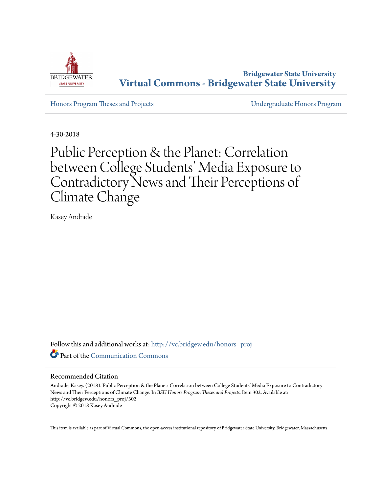

**Bridgewater State University [Virtual Commons - Bridgewater State University](http://vc.bridgew.edu?utm_source=vc.bridgew.edu%2Fhonors_proj%2F302&utm_medium=PDF&utm_campaign=PDFCoverPages)**

[Honors Program Theses and Projects](http://vc.bridgew.edu/honors_proj?utm_source=vc.bridgew.edu%2Fhonors_proj%2F302&utm_medium=PDF&utm_campaign=PDFCoverPages) [Undergraduate Honors Program](http://vc.bridgew.edu/honors?utm_source=vc.bridgew.edu%2Fhonors_proj%2F302&utm_medium=PDF&utm_campaign=PDFCoverPages)

4-30-2018

# Public Perception & the Planet: Correlation between College Students' Media Exposure to Contradictory News and Their Perceptions of Climate Change

Kasey Andrade

Follow this and additional works at: [http://vc.bridgew.edu/honors\\_proj](http://vc.bridgew.edu/honors_proj?utm_source=vc.bridgew.edu%2Fhonors_proj%2F302&utm_medium=PDF&utm_campaign=PDFCoverPages) Part of the [Communication Commons](http://network.bepress.com/hgg/discipline/325?utm_source=vc.bridgew.edu%2Fhonors_proj%2F302&utm_medium=PDF&utm_campaign=PDFCoverPages)

#### Recommended Citation

Andrade, Kasey. (2018). Public Perception & the Planet: Correlation between College Students' Media Exposure to Contradictory News and Their Perceptions of Climate Change. In *BSU Honors Program Theses and Projects.* Item 302. Available at: http://vc.bridgew.edu/honors\_proj/302 Copyright © 2018 Kasey Andrade

This item is available as part of Virtual Commons, the open-access institutional repository of Bridgewater State University, Bridgewater, Massachusetts.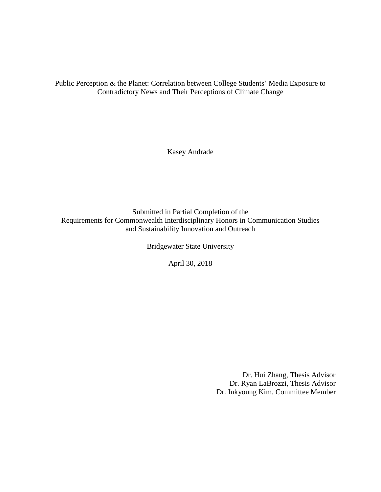Public Perception & the Planet: Correlation between College Students' Media Exposure to Contradictory News and Their Perceptions of Climate Change

Running head: PUBLIC PERCEPTION & THE PLANET 1

Kasey Andrade

Submitted in Partial Completion of the Requirements for Commonwealth Interdisciplinary Honors in Communication Studies and Sustainability Innovation and Outreach

Bridgewater State University

April 30, 2018

 Dr. Hui Zhang, Thesis Advisor Dr. Ryan LaBrozzi, Thesis Advisor Dr. Inkyoung Kim, Committee Member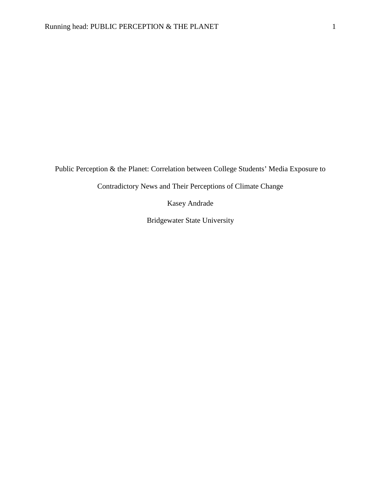Public Perception & the Planet: Correlation between College Students' Media Exposure to

Contradictory News and Their Perceptions of Climate Change

Kasey Andrade

Bridgewater State University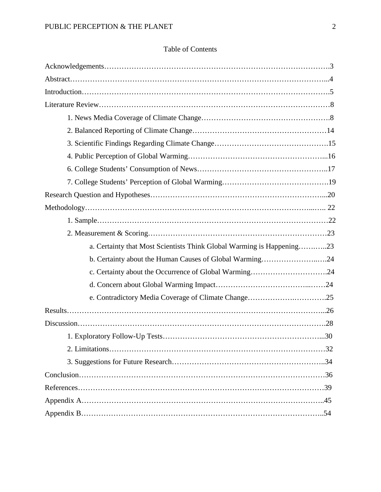# Table of Contents

| a. Certainty that Most Scientists Think Global Warming is Happening23 |  |
|-----------------------------------------------------------------------|--|
| b. Certainty about the Human Causes of Global Warming24               |  |
| c. Certainty about the Occurrence of Global Warming24                 |  |
|                                                                       |  |
|                                                                       |  |
|                                                                       |  |
|                                                                       |  |
|                                                                       |  |
|                                                                       |  |
|                                                                       |  |
|                                                                       |  |
|                                                                       |  |
|                                                                       |  |
|                                                                       |  |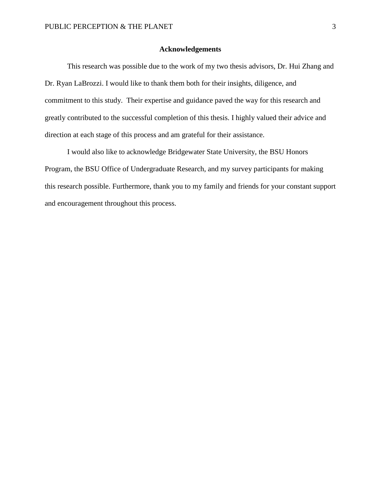#### **Acknowledgements**

This research was possible due to the work of my two thesis advisors, Dr. Hui Zhang and Dr. Ryan LaBrozzi. I would like to thank them both for their insights, diligence, and commitment to this study. Their expertise and guidance paved the way for this research and greatly contributed to the successful completion of this thesis. I highly valued their advice and direction at each stage of this process and am grateful for their assistance.

I would also like to acknowledge Bridgewater State University, the BSU Honors Program, the BSU Office of Undergraduate Research, and my survey participants for making this research possible. Furthermore, thank you to my family and friends for your constant support and encouragement throughout this process.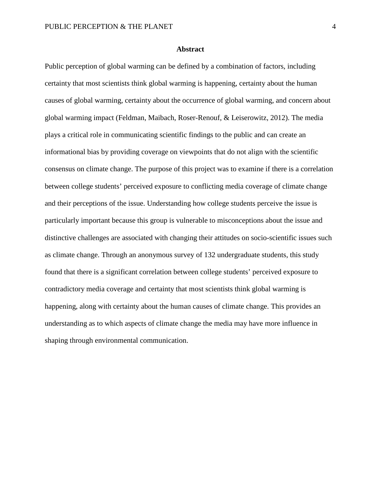#### **Abstract**

Public perception of global warming can be defined by a combination of factors, including certainty that most scientists think global warming is happening, certainty about the human causes of global warming, certainty about the occurrence of global warming, and concern about global warming impact (Feldman, Maibach, Roser-Renouf, & Leiserowitz, 2012). The media plays a critical role in communicating scientific findings to the public and can create an informational bias by providing coverage on viewpoints that do not align with the scientific consensus on climate change. The purpose of this project was to examine if there is a correlation between college students' perceived exposure to conflicting media coverage of climate change and their perceptions of the issue. Understanding how college students perceive the issue is particularly important because this group is vulnerable to misconceptions about the issue and distinctive challenges are associated with changing their attitudes on socio-scientific issues such as climate change. Through an anonymous survey of 132 undergraduate students, this study found that there is a significant correlation between college students' perceived exposure to contradictory media coverage and certainty that most scientists think global warming is happening, along with certainty about the human causes of climate change. This provides an understanding as to which aspects of climate change the media may have more influence in shaping through environmental communication.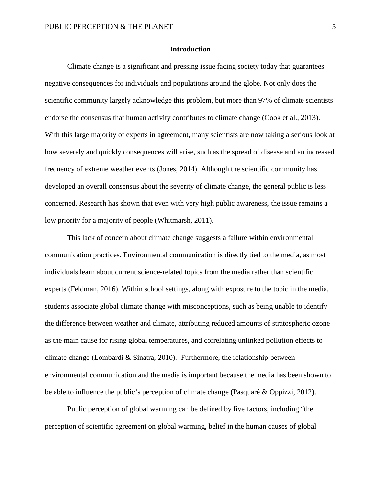#### **Introduction**

Climate change is a significant and pressing issue facing society today that guarantees negative consequences for individuals and populations around the globe. Not only does the scientific community largely acknowledge this problem, but more than 97% of climate scientists endorse the consensus that human activity contributes to climate change (Cook et al., 2013). With this large majority of experts in agreement, many scientists are now taking a serious look at how severely and quickly consequences will arise, such as the spread of disease and an increased frequency of extreme weather events (Jones, 2014). Although the scientific community has developed an overall consensus about the severity of climate change, the general public is less concerned. Research has shown that even with very high public awareness, the issue remains a low priority for a majority of people (Whitmarsh, 2011).

This lack of concern about climate change suggests a failure within environmental communication practices. Environmental communication is directly tied to the media, as most individuals learn about current science-related topics from the media rather than scientific experts (Feldman, 2016). Within school settings, along with exposure to the topic in the media, students associate global climate change with misconceptions, such as being unable to identify the difference between weather and climate, attributing reduced amounts of stratospheric ozone as the main cause for rising global temperatures, and correlating unlinked pollution effects to climate change (Lombardi & Sinatra, 2010). Furthermore, the relationship between environmental communication and the media is important because the media has been shown to be able to influence the public's perception of climate change (Pasquaré & Oppizzi, 2012).

Public perception of global warming can be defined by five factors, including "the perception of scientific agreement on global warming, belief in the human causes of global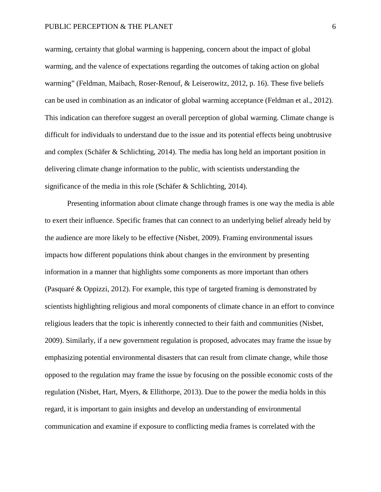warming, certainty that global warming is happening, concern about the impact of global warming, and the valence of expectations regarding the outcomes of taking action on global warming" (Feldman, Maibach, Roser-Renouf, & Leiserowitz, 2012, p. 16). These five beliefs can be used in combination as an indicator of global warming acceptance (Feldman et al., 2012). This indication can therefore suggest an overall perception of global warming. Climate change is difficult for individuals to understand due to the issue and its potential effects being unobtrusive and complex (Schäfer & Schlichting, 2014). The media has long held an important position in delivering climate change information to the public, with scientists understanding the significance of the media in this role (Schäfer & Schlichting, 2014).

Presenting information about climate change through frames is one way the media is able to exert their influence. Specific frames that can connect to an underlying belief already held by the audience are more likely to be effective (Nisbet, 2009). Framing environmental issues impacts how different populations think about changes in the environment by presenting information in a manner that highlights some components as more important than others (Pasquaré & Oppizzi, 2012). For example, this type of targeted framing is demonstrated by scientists highlighting religious and moral components of climate chance in an effort to convince religious leaders that the topic is inherently connected to their faith and communities (Nisbet, 2009). Similarly, if a new government regulation is proposed, advocates may frame the issue by emphasizing potential environmental disasters that can result from climate change, while those opposed to the regulation may frame the issue by focusing on the possible economic costs of the regulation (Nisbet, Hart, Myers, & Ellithorpe, 2013). Due to the power the media holds in this regard, it is important to gain insights and develop an understanding of environmental communication and examine if exposure to conflicting media frames is correlated with the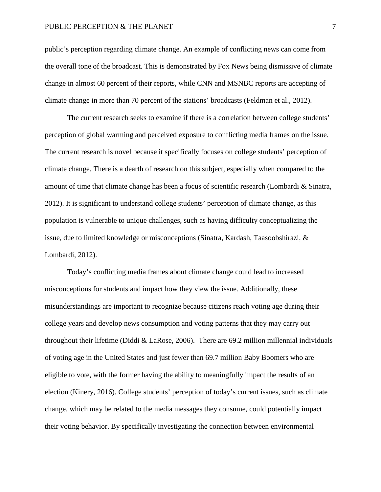public's perception regarding climate change. An example of conflicting news can come from the overall tone of the broadcast. This is demonstrated by Fox News being dismissive of climate change in almost 60 percent of their reports, while CNN and MSNBC reports are accepting of climate change in more than 70 percent of the stations' broadcasts (Feldman et al., 2012).

The current research seeks to examine if there is a correlation between college students' perception of global warming and perceived exposure to conflicting media frames on the issue. The current research is novel because it specifically focuses on college students' perception of climate change. There is a dearth of research on this subject, especially when compared to the amount of time that climate change has been a focus of scientific research (Lombardi & Sinatra, 2012). It is significant to understand college students' perception of climate change, as this population is vulnerable to unique challenges, such as having difficulty conceptualizing the issue, due to limited knowledge or misconceptions (Sinatra, Kardash, Taasoobshirazi, & Lombardi, 2012).

Today's conflicting media frames about climate change could lead to increased misconceptions for students and impact how they view the issue. Additionally, these misunderstandings are important to recognize because citizens reach voting age during their college years and develop news consumption and voting patterns that they may carry out throughout their lifetime (Diddi & LaRose, 2006). There are 69.2 million millennial individuals of voting age in the United States and just fewer than 69.7 million Baby Boomers who are eligible to vote, with the former having the ability to meaningfully impact the results of an election (Kinery, 2016). College students' perception of today's current issues, such as climate change, which may be related to the media messages they consume, could potentially impact their voting behavior. By specifically investigating the connection between environmental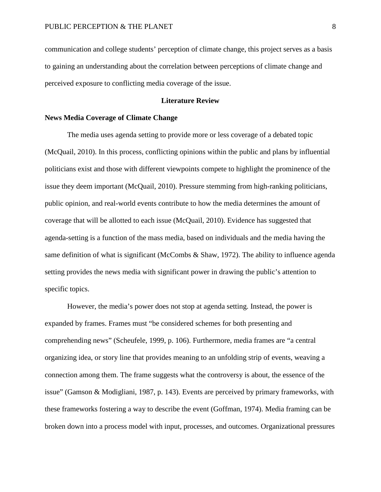communication and college students' perception of climate change, this project serves as a basis to gaining an understanding about the correlation between perceptions of climate change and perceived exposure to conflicting media coverage of the issue.

#### **Literature Review**

#### **News Media Coverage of Climate Change**

The media uses agenda setting to provide more or less coverage of a debated topic (McQuail, 2010). In this process, conflicting opinions within the public and plans by influential politicians exist and those with different viewpoints compete to highlight the prominence of the issue they deem important (McQuail, 2010). Pressure stemming from high-ranking politicians, public opinion, and real-world events contribute to how the media determines the amount of coverage that will be allotted to each issue (McQuail, 2010). Evidence has suggested that agenda-setting is a function of the mass media, based on individuals and the media having the same definition of what is significant (McCombs & Shaw, 1972). The ability to influence agenda setting provides the news media with significant power in drawing the public's attention to specific topics.

However, the media's power does not stop at agenda setting. Instead, the power is expanded by frames. Frames must "be considered schemes for both presenting and comprehending news" (Scheufele, 1999, p. 106). Furthermore, media frames are "a central organizing idea, or story line that provides meaning to an unfolding strip of events, weaving a connection among them. The frame suggests what the controversy is about, the essence of the issue" (Gamson & Modigliani, 1987, p. 143). Events are perceived by primary frameworks, with these frameworks fostering a way to describe the event (Goffman, 1974). Media framing can be broken down into a process model with input, processes, and outcomes. Organizational pressures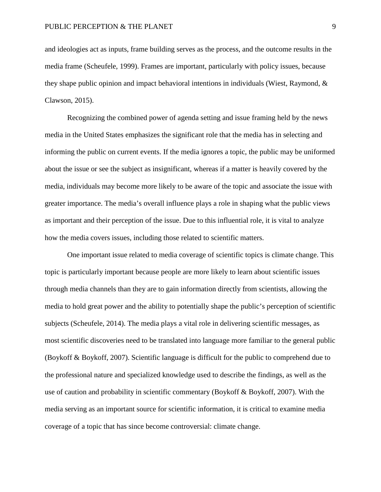and ideologies act as inputs, frame building serves as the process, and the outcome results in the media frame (Scheufele, 1999). Frames are important, particularly with policy issues, because they shape public opinion and impact behavioral intentions in individuals (Wiest, Raymond, & Clawson, 2015).

Recognizing the combined power of agenda setting and issue framing held by the news media in the United States emphasizes the significant role that the media has in selecting and informing the public on current events. If the media ignores a topic, the public may be uniformed about the issue or see the subject as insignificant, whereas if a matter is heavily covered by the media, individuals may become more likely to be aware of the topic and associate the issue with greater importance. The media's overall influence plays a role in shaping what the public views as important and their perception of the issue. Due to this influential role, it is vital to analyze how the media covers issues, including those related to scientific matters.

One important issue related to media coverage of scientific topics is climate change. This topic is particularly important because people are more likely to learn about scientific issues through media channels than they are to gain information directly from scientists, allowing the media to hold great power and the ability to potentially shape the public's perception of scientific subjects (Scheufele, 2014). The media plays a vital role in delivering scientific messages, as most scientific discoveries need to be translated into language more familiar to the general public (Boykoff & Boykoff, 2007). Scientific language is difficult for the public to comprehend due to the professional nature and specialized knowledge used to describe the findings, as well as the use of caution and probability in scientific commentary (Boykoff & Boykoff, 2007). With the media serving as an important source for scientific information, it is critical to examine media coverage of a topic that has since become controversial: climate change.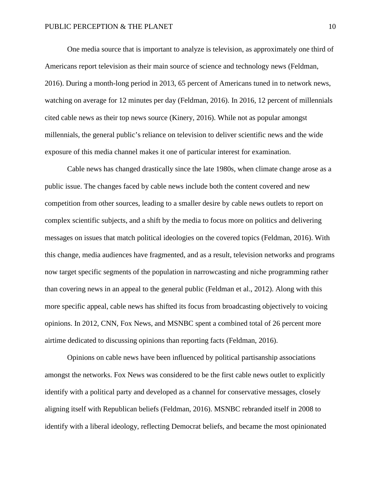One media source that is important to analyze is television, as approximately one third of Americans report television as their main source of science and technology news (Feldman, 2016). During a month-long period in 2013, 65 percent of Americans tuned in to network news, watching on average for 12 minutes per day (Feldman, 2016). In 2016, 12 percent of millennials cited cable news as their top news source (Kinery, 2016). While not as popular amongst millennials, the general public's reliance on television to deliver scientific news and the wide exposure of this media channel makes it one of particular interest for examination.

Cable news has changed drastically since the late 1980s, when climate change arose as a public issue. The changes faced by cable news include both the content covered and new competition from other sources, leading to a smaller desire by cable news outlets to report on complex scientific subjects, and a shift by the media to focus more on politics and delivering messages on issues that match political ideologies on the covered topics (Feldman, 2016). With this change, media audiences have fragmented, and as a result, television networks and programs now target specific segments of the population in narrowcasting and niche programming rather than covering news in an appeal to the general public (Feldman et al., 2012). Along with this more specific appeal, cable news has shifted its focus from broadcasting objectively to voicing opinions. In 2012, CNN, Fox News, and MSNBC spent a combined total of 26 percent more airtime dedicated to discussing opinions than reporting facts (Feldman, 2016).

Opinions on cable news have been influenced by political partisanship associations amongst the networks. Fox News was considered to be the first cable news outlet to explicitly identify with a political party and developed as a channel for conservative messages, closely aligning itself with Republican beliefs (Feldman, 2016). MSNBC rebranded itself in 2008 to identify with a liberal ideology, reflecting Democrat beliefs, and became the most opinionated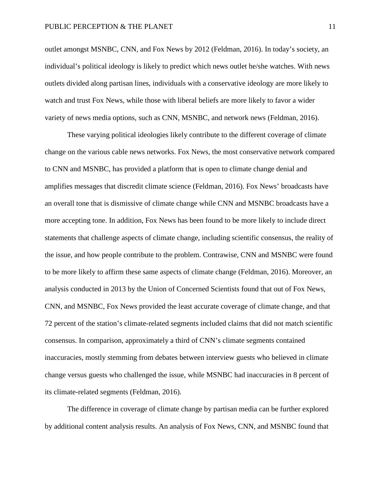outlet amongst MSNBC, CNN, and Fox News by 2012 (Feldman, 2016). In today's society, an individual's political ideology is likely to predict which news outlet he/she watches. With news outlets divided along partisan lines, individuals with a conservative ideology are more likely to watch and trust Fox News, while those with liberal beliefs are more likely to favor a wider variety of news media options, such as CNN, MSNBC, and network news (Feldman, 2016).

These varying political ideologies likely contribute to the different coverage of climate change on the various cable news networks. Fox News, the most conservative network compared to CNN and MSNBC, has provided a platform that is open to climate change denial and amplifies messages that discredit climate science (Feldman, 2016). Fox News' broadcasts have an overall tone that is dismissive of climate change while CNN and MSNBC broadcasts have a more accepting tone. In addition, Fox News has been found to be more likely to include direct statements that challenge aspects of climate change, including scientific consensus, the reality of the issue, and how people contribute to the problem. Contrawise, CNN and MSNBC were found to be more likely to affirm these same aspects of climate change (Feldman, 2016). Moreover, an analysis conducted in 2013 by the Union of Concerned Scientists found that out of Fox News, CNN, and MSNBC, Fox News provided the least accurate coverage of climate change, and that 72 percent of the station's climate-related segments included claims that did not match scientific consensus. In comparison, approximately a third of CNN's climate segments contained inaccuracies, mostly stemming from debates between interview guests who believed in climate change versus guests who challenged the issue, while MSNBC had inaccuracies in 8 percent of its climate-related segments (Feldman, 2016).

The difference in coverage of climate change by partisan media can be further explored by additional content analysis results. An analysis of Fox News, CNN, and MSNBC found that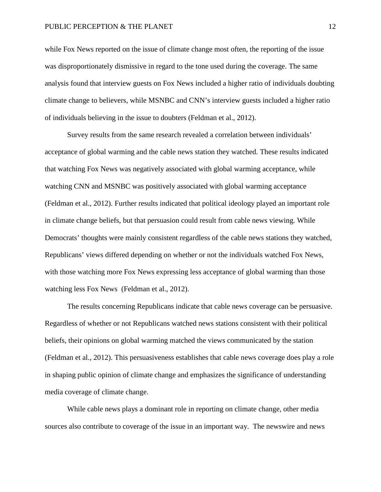while Fox News reported on the issue of climate change most often, the reporting of the issue was disproportionately dismissive in regard to the tone used during the coverage. The same analysis found that interview guests on Fox News included a higher ratio of individuals doubting climate change to believers, while MSNBC and CNN's interview guests included a higher ratio of individuals believing in the issue to doubters (Feldman et al., 2012).

Survey results from the same research revealed a correlation between individuals' acceptance of global warming and the cable news station they watched. These results indicated that watching Fox News was negatively associated with global warming acceptance, while watching CNN and MSNBC was positively associated with global warming acceptance (Feldman et al., 2012). Further results indicated that political ideology played an important role in climate change beliefs, but that persuasion could result from cable news viewing. While Democrats' thoughts were mainly consistent regardless of the cable news stations they watched, Republicans' views differed depending on whether or not the individuals watched Fox News, with those watching more Fox News expressing less acceptance of global warming than those watching less Fox News (Feldman et al., 2012).

The results concerning Republicans indicate that cable news coverage can be persuasive. Regardless of whether or not Republicans watched news stations consistent with their political beliefs, their opinions on global warming matched the views communicated by the station (Feldman et al., 2012). This persuasiveness establishes that cable news coverage does play a role in shaping public opinion of climate change and emphasizes the significance of understanding media coverage of climate change.

While cable news plays a dominant role in reporting on climate change, other media sources also contribute to coverage of the issue in an important way. The newswire and news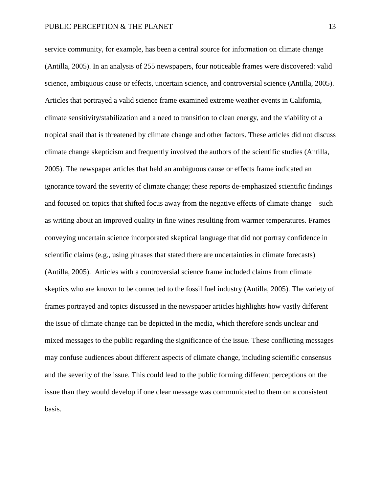service community, for example, has been a central source for information on climate change (Antilla, 2005). In an analysis of 255 newspapers, four noticeable frames were discovered: valid science, ambiguous cause or effects, uncertain science, and controversial science (Antilla, 2005). Articles that portrayed a valid science frame examined extreme weather events in California, climate sensitivity/stabilization and a need to transition to clean energy, and the viability of a tropical snail that is threatened by climate change and other factors. These articles did not discuss climate change skepticism and frequently involved the authors of the scientific studies (Antilla, 2005). The newspaper articles that held an ambiguous cause or effects frame indicated an ignorance toward the severity of climate change; these reports de-emphasized scientific findings and focused on topics that shifted focus away from the negative effects of climate change – such as writing about an improved quality in fine wines resulting from warmer temperatures. Frames conveying uncertain science incorporated skeptical language that did not portray confidence in scientific claims (e.g., using phrases that stated there are uncertainties in climate forecasts) (Antilla, 2005). Articles with a controversial science frame included claims from climate skeptics who are known to be connected to the fossil fuel industry (Antilla, 2005). The variety of frames portrayed and topics discussed in the newspaper articles highlights how vastly different the issue of climate change can be depicted in the media, which therefore sends unclear and mixed messages to the public regarding the significance of the issue. These conflicting messages may confuse audiences about different aspects of climate change, including scientific consensus and the severity of the issue. This could lead to the public forming different perceptions on the issue than they would develop if one clear message was communicated to them on a consistent basis.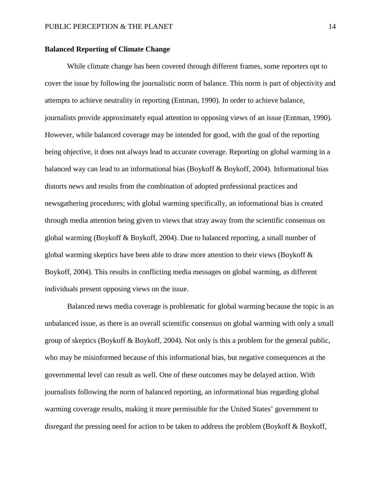#### **Balanced Reporting of Climate Change**

While climate change has been covered through different frames, some reporters opt to cover the issue by following the journalistic norm of balance. This norm is part of objectivity and attempts to achieve neutrality in reporting (Entman, 1990). In order to achieve balance, journalists provide approximately equal attention to opposing views of an issue (Entman, 1990). However, while balanced coverage may be intended for good, with the goal of the reporting being objective, it does not always lead to accurate coverage. Reporting on global warming in a balanced way can lead to an informational bias (Boykoff & Boykoff, 2004). Informational bias distorts news and results from the combination of adopted professional practices and newsgathering procedures; with global warming specifically, an informational bias is created through media attention being given to views that stray away from the scientific consensus on global warming (Boykoff & Boykoff, 2004). Due to balanced reporting, a small number of global warming skeptics have been able to draw more attention to their views (Boykoff & Boykoff, 2004). This results in conflicting media messages on global warming, as different individuals present opposing views on the issue.

Balanced news media coverage is problematic for global warming because the topic is an unbalanced issue, as there is an overall scientific consensus on global warming with only a small group of skeptics (Boykoff & Boykoff, 2004). Not only is this a problem for the general public, who may be misinformed because of this informational bias, but negative consequences at the governmental level can result as well. One of these outcomes may be delayed action. With journalists following the norm of balanced reporting, an informational bias regarding global warming coverage results, making it more permissible for the United States' government to disregard the pressing need for action to be taken to address the problem (Boykoff & Boykoff,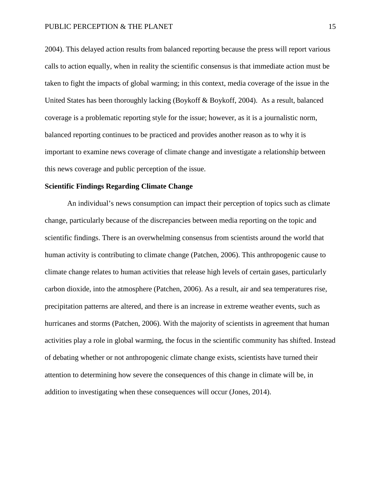2004). This delayed action results from balanced reporting because the press will report various calls to action equally, when in reality the scientific consensus is that immediate action must be taken to fight the impacts of global warming; in this context, media coverage of the issue in the United States has been thoroughly lacking (Boykoff & Boykoff, 2004). As a result, balanced coverage is a problematic reporting style for the issue; however, as it is a journalistic norm, balanced reporting continues to be practiced and provides another reason as to why it is important to examine news coverage of climate change and investigate a relationship between this news coverage and public perception of the issue.

#### **Scientific Findings Regarding Climate Change**

An individual's news consumption can impact their perception of topics such as climate change, particularly because of the discrepancies between media reporting on the topic and scientific findings. There is an overwhelming consensus from scientists around the world that human activity is contributing to climate change (Patchen, 2006). This anthropogenic cause to climate change relates to human activities that release high levels of certain gases, particularly carbon dioxide, into the atmosphere (Patchen, 2006). As a result, air and sea temperatures rise, precipitation patterns are altered, and there is an increase in extreme weather events, such as hurricanes and storms (Patchen, 2006). With the majority of scientists in agreement that human activities play a role in global warming, the focus in the scientific community has shifted. Instead of debating whether or not anthropogenic climate change exists, scientists have turned their attention to determining how severe the consequences of this change in climate will be, in addition to investigating when these consequences will occur (Jones, 2014).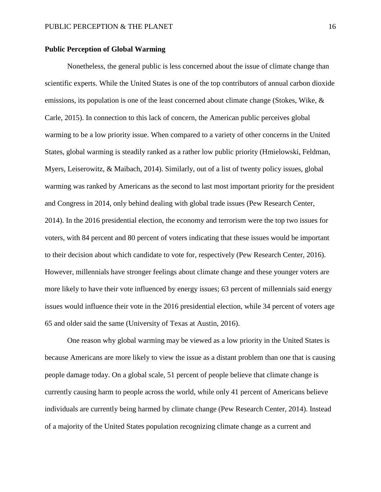#### **Public Perception of Global Warming**

Nonetheless, the general public is less concerned about the issue of climate change than scientific experts. While the United States is one of the top contributors of annual carbon dioxide emissions, its population is one of the least concerned about climate change (Stokes, Wike, & Carle, 2015). In connection to this lack of concern, the American public perceives global warming to be a low priority issue. When compared to a variety of other concerns in the United States, global warming is steadily ranked as a rather low public priority (Hmielowski, Feldman, Myers, Leiserowitz, & Maibach, 2014). Similarly, out of a list of twenty policy issues, global warming was ranked by Americans as the second to last most important priority for the president and Congress in 2014, only behind dealing with global trade issues (Pew Research Center, 2014). In the 2016 presidential election, the economy and terrorism were the top two issues for voters, with 84 percent and 80 percent of voters indicating that these issues would be important to their decision about which candidate to vote for, respectively (Pew Research Center, 2016). However, millennials have stronger feelings about climate change and these younger voters are more likely to have their vote influenced by energy issues; 63 percent of millennials said energy issues would influence their vote in the 2016 presidential election, while 34 percent of voters age 65 and older said the same (University of Texas at Austin, 2016).

One reason why global warming may be viewed as a low priority in the United States is because Americans are more likely to view the issue as a distant problem than one that is causing people damage today. On a global scale, 51 percent of people believe that climate change is currently causing harm to people across the world, while only 41 percent of Americans believe individuals are currently being harmed by climate change (Pew Research Center, 2014). Instead of a majority of the United States population recognizing climate change as a current and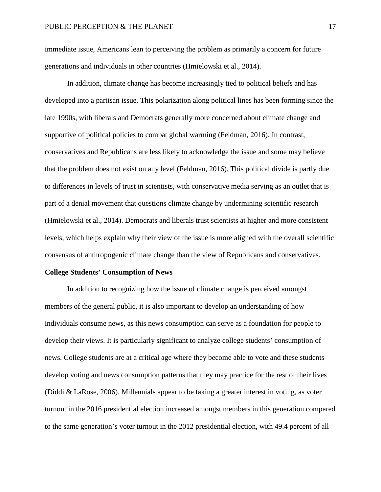immediate issue, Americans lean to perceiving the problem as primarily a concern for future generations and individuals in other countries (Hmielowski et al., 2014).

In addition, climate change has become increasingly tied to political beliefs and has developed into a partisan issue. This polarization along political lines has been forming since the late 1990s, with liberals and Democrats generally more concerned about climate change and supportive of political policies to combat global warming (Feldman, 2016). In contrast, conservatives and Republicans are less likely to acknowledge the issue and some may believe that the problem does not exist on any level (Feldman, 2016). This political divide is partly due to differences in levels of trust in scientists, with conservative media serving as an outlet that is part of a denial movement that questions climate change by undermining scientific research (Hmielowski et al., 2014). Democrats and liberals trust scientists at higher and more consistent levels, which helps explain why their view of the issue is more aligned with the overall scientific consensus of anthropogenic climate change than the view of Republicans and conservatives.

#### **College Students' Consumption of News**

In addition to recognizing how the issue of climate change is perceived amongst members of the general public, it is also important to develop an understanding of how individuals consume news, as this news consumption can serve as a foundation for people to develop their views. It is particularly significant to analyze college students' consumption of news. College students are at a critical age where they become able to vote and these students develop voting and news consumption patterns that they may practice for the rest of their lives (Diddi & LaRose, 2006). Millennials appear to be taking a greater interest in voting, as voter turnout in the 2016 presidential election increased amongst members in this generation compared to the same generation's voter turnout in the 2012 presidential election, with 49.4 percent of all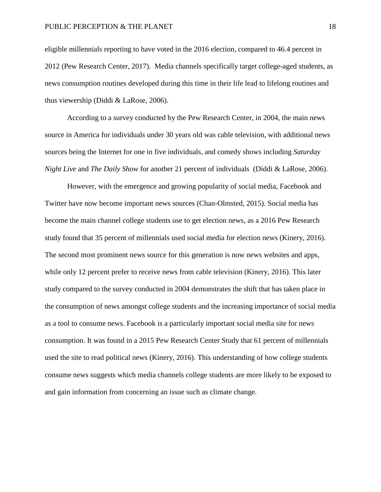eligible millennials reporting to have voted in the 2016 election, compared to 46.4 percent in 2012 (Pew Research Center, 2017). Media channels specifically target college-aged students, as news consumption routines developed during this time in their life lead to lifelong routines and thus viewership (Diddi & LaRose, 2006).

According to a survey conducted by the Pew Research Center, in 2004, the main news source in America for individuals under 30 years old was cable television, with additional news sources being the Internet for one in five individuals, and comedy shows including *Saturday Night Live* and *The Daily Show* for another 21 percent of individuals (Diddi & LaRose, 2006).

However, with the emergence and growing popularity of social media, Facebook and Twitter have now become important news sources (Chan-Olmsted, 2015). Social media has become the main channel college students use to get election news, as a 2016 Pew Research study found that 35 percent of millennials used social media for election news (Kinery, 2016). The second most prominent news source for this generation is now news websites and apps, while only 12 percent prefer to receive news from cable television (Kinery, 2016). This later study compared to the survey conducted in 2004 demonstrates the shift that has taken place in the consumption of news amongst college students and the increasing importance of social media as a tool to consume news. Facebook is a particularly important social media site for news consumption. It was found in a 2015 Pew Research Center Study that 61 percent of millennials used the site to read political news (Kinery, 2016). This understanding of how college students consume news suggests which media channels college students are more likely to be exposed to and gain information from concerning an issue such as climate change.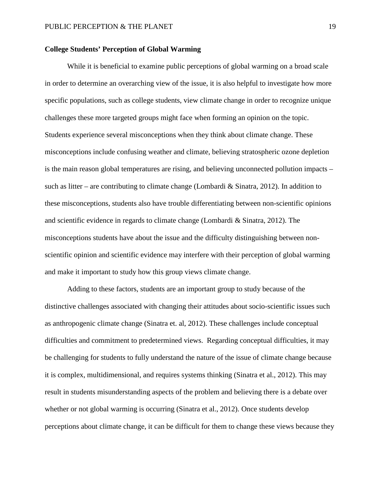#### **College Students' Perception of Global Warming**

While it is beneficial to examine public perceptions of global warming on a broad scale in order to determine an overarching view of the issue, it is also helpful to investigate how more specific populations, such as college students, view climate change in order to recognize unique challenges these more targeted groups might face when forming an opinion on the topic. Students experience several misconceptions when they think about climate change. These misconceptions include confusing weather and climate, believing stratospheric ozone depletion is the main reason global temperatures are rising, and believing unconnected pollution impacts – such as litter – are contributing to climate change (Lombardi & Sinatra, 2012). In addition to these misconceptions, students also have trouble differentiating between non-scientific opinions and scientific evidence in regards to climate change (Lombardi & Sinatra, 2012). The misconceptions students have about the issue and the difficulty distinguishing between nonscientific opinion and scientific evidence may interfere with their perception of global warming and make it important to study how this group views climate change.

Adding to these factors, students are an important group to study because of the distinctive challenges associated with changing their attitudes about socio-scientific issues such as anthropogenic climate change (Sinatra et. al, 2012). These challenges include conceptual difficulties and commitment to predetermined views. Regarding conceptual difficulties, it may be challenging for students to fully understand the nature of the issue of climate change because it is complex, multidimensional, and requires systems thinking (Sinatra et al., 2012). This may result in students misunderstanding aspects of the problem and believing there is a debate over whether or not global warming is occurring (Sinatra et al., 2012). Once students develop perceptions about climate change, it can be difficult for them to change these views because they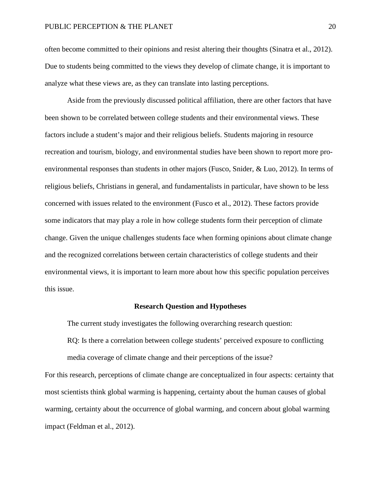often become committed to their opinions and resist altering their thoughts (Sinatra et al., 2012). Due to students being committed to the views they develop of climate change, it is important to analyze what these views are, as they can translate into lasting perceptions.

Aside from the previously discussed political affiliation, there are other factors that have been shown to be correlated between college students and their environmental views. These factors include a student's major and their religious beliefs. Students majoring in resource recreation and tourism, biology, and environmental studies have been shown to report more proenvironmental responses than students in other majors (Fusco, Snider, & Luo, 2012). In terms of religious beliefs, Christians in general, and fundamentalists in particular, have shown to be less concerned with issues related to the environment (Fusco et al., 2012). These factors provide some indicators that may play a role in how college students form their perception of climate change. Given the unique challenges students face when forming opinions about climate change and the recognized correlations between certain characteristics of college students and their environmental views, it is important to learn more about how this specific population perceives this issue.

#### **Research Question and Hypotheses**

The current study investigates the following overarching research question:

RQ: Is there a correlation between college students' perceived exposure to conflicting media coverage of climate change and their perceptions of the issue?

For this research, perceptions of climate change are conceptualized in four aspects: certainty that most scientists think global warming is happening, certainty about the human causes of global warming, certainty about the occurrence of global warming, and concern about global warming impact (Feldman et al., 2012).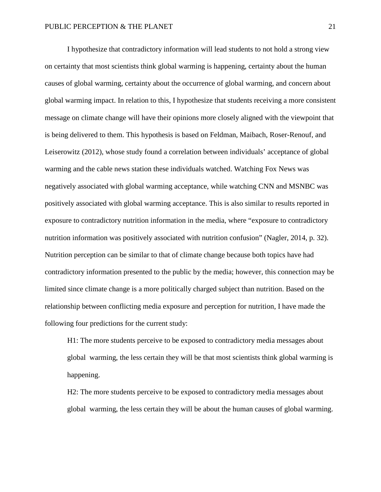I hypothesize that contradictory information will lead students to not hold a strong view on certainty that most scientists think global warming is happening, certainty about the human causes of global warming, certainty about the occurrence of global warming, and concern about global warming impact. In relation to this, I hypothesize that students receiving a more consistent message on climate change will have their opinions more closely aligned with the viewpoint that is being delivered to them. This hypothesis is based on Feldman, Maibach, Roser-Renouf, and Leiserowitz (2012), whose study found a correlation between individuals' acceptance of global warming and the cable news station these individuals watched. Watching Fox News was negatively associated with global warming acceptance, while watching CNN and MSNBC was positively associated with global warming acceptance. This is also similar to results reported in exposure to contradictory nutrition information in the media, where "exposure to contradictory nutrition information was positively associated with nutrition confusion" (Nagler, 2014, p. 32). Nutrition perception can be similar to that of climate change because both topics have had contradictory information presented to the public by the media; however, this connection may be limited since climate change is a more politically charged subject than nutrition. Based on the relationship between conflicting media exposure and perception for nutrition, I have made the following four predictions for the current study:

H1: The more students perceive to be exposed to contradictory media messages about global warming, the less certain they will be that most scientists think global warming is happening.

H2: The more students perceive to be exposed to contradictory media messages about global warming, the less certain they will be about the human causes of global warming.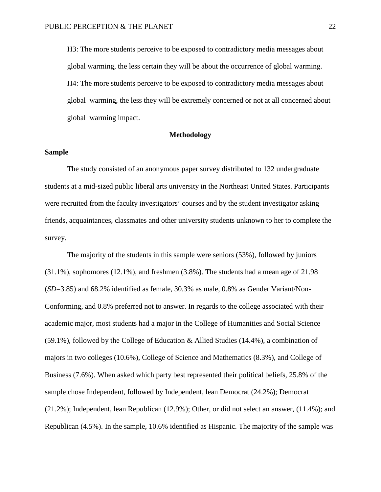H3: The more students perceive to be exposed to contradictory media messages about global warming, the less certain they will be about the occurrence of global warming. H4: The more students perceive to be exposed to contradictory media messages about global warming, the less they will be extremely concerned or not at all concerned about global warming impact.

## **Methodology**

#### **Sample**

The study consisted of an anonymous paper survey distributed to 132 undergraduate students at a mid-sized public liberal arts university in the Northeast United States. Participants were recruited from the faculty investigators' courses and by the student investigator asking friends, acquaintances, classmates and other university students unknown to her to complete the survey.

The majority of the students in this sample were seniors (53%), followed by juniors  $(31.1\%)$ , sophomores  $(12.1\%)$ , and freshmen  $(3.8\%)$ . The students had a mean age of  $21.98$ (*SD*=3.85) and 68.2% identified as female, 30.3% as male, 0.8% as Gender Variant/Non-Conforming, and 0.8% preferred not to answer. In regards to the college associated with their academic major, most students had a major in the College of Humanities and Social Science  $(59.1\%)$ , followed by the College of Education & Allied Studies (14.4%), a combination of majors in two colleges (10.6%), College of Science and Mathematics (8.3%), and College of Business (7.6%). When asked which party best represented their political beliefs, 25.8% of the sample chose Independent, followed by Independent, lean Democrat (24.2%); Democrat (21.2%); Independent, lean Republican (12.9%); Other, or did not select an answer, (11.4%); and Republican (4.5%). In the sample, 10.6% identified as Hispanic. The majority of the sample was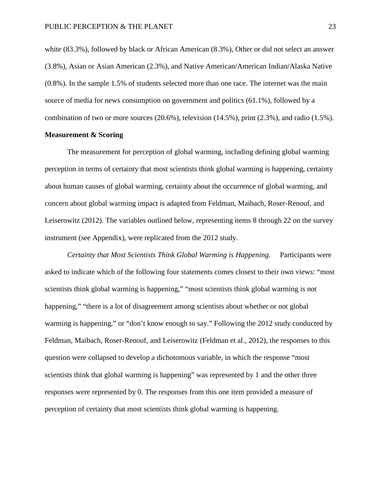white (83.3%), followed by black or African American (8.3%), Other or did not select an answer (3.8%), Asian or Asian American (2.3%), and Native American/American Indian/Alaska Native (0.8%). In the sample 1.5% of students selected more than one race. The internet was the main source of media for news consumption on government and politics (61.1%), followed by a combination of two or more sources  $(20.6\%)$ , television  $(14.5\%)$ , print  $(2.3\%)$ , and radio  $(1.5\%)$ .

#### **Measurement & Scoring**

The measurement for perception of global warming, including defining global warming perception in terms of certainty that most scientists think global warming is happening, certainty about human causes of global warming, certainty about the occurrence of global warming, and concern about global warming impact is adapted from Feldman, Maibach, Roser-Renouf, and Leiserowitz (2012). The variables outlined below, representing items 8 through 22 on the survey instrument (see Appendix), were replicated from the 2012 study.

*Certainty that Most Scientists Think Global Warming is Happening.* Participants were asked to indicate which of the following four statements comes closest to their own views: "most scientists think global warming is happening," "most scientists think global warming is not happening," "there is a lot of disagreement among scientists about whether or not global warming is happening," or "don't know enough to say." Following the 2012 study conducted by Feldman, Maibach, Roser-Renouf, and Leiserowitz (Feldman et al., 2012), the responses to this question were collapsed to develop a dichotomous variable, in which the response "most scientists think that global warming is happening" was represented by 1 and the other three responses were represented by 0. The responses from this one item provided a measure of perception of certainty that most scientists think global warming is happening.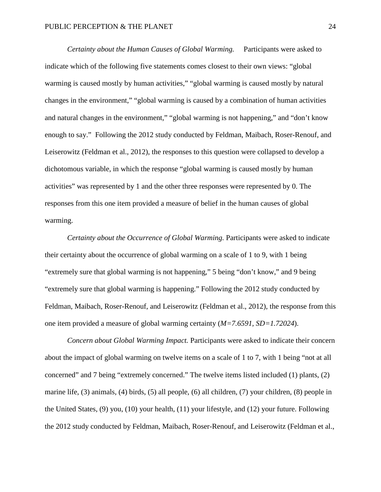*Certainty about the Human Causes of Global Warming.* Participants were asked to indicate which of the following five statements comes closest to their own views: "global warming is caused mostly by human activities," "global warming is caused mostly by natural changes in the environment," "global warming is caused by a combination of human activities and natural changes in the environment," "global warming is not happening," and "don't know enough to say." Following the 2012 study conducted by Feldman, Maibach, Roser-Renouf, and Leiserowitz (Feldman et al., 2012), the responses to this question were collapsed to develop a dichotomous variable, in which the response "global warming is caused mostly by human activities" was represented by 1 and the other three responses were represented by 0. The responses from this one item provided a measure of belief in the human causes of global warming.

*Certainty about the Occurrence of Global Warming.* Participants were asked to indicate their certainty about the occurrence of global warming on a scale of 1 to 9, with 1 being "extremely sure that global warming is not happening," 5 being "don't know," and 9 being "extremely sure that global warming is happening." Following the 2012 study conducted by Feldman, Maibach, Roser-Renouf, and Leiserowitz (Feldman et al., 2012), the response from this one item provided a measure of global warming certainty (*M=7.6591, SD=1.72024*).

*Concern about Global Warming Impact.* Participants were asked to indicate their concern about the impact of global warming on twelve items on a scale of 1 to 7, with 1 being "not at all concerned" and 7 being "extremely concerned." The twelve items listed included (1) plants, (2) marine life, (3) animals, (4) birds, (5) all people, (6) all children, (7) your children, (8) people in the United States, (9) you, (10) your health, (11) your lifestyle, and (12) your future. Following the 2012 study conducted by Feldman, Maibach, Roser-Renouf, and Leiserowitz (Feldman et al.,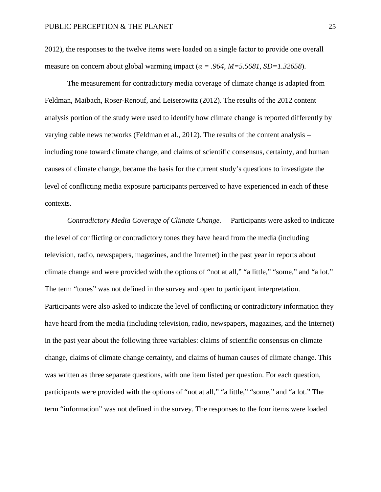2012), the responses to the twelve items were loaded on a single factor to provide one overall measure on concern about global warming impact ( $\alpha$  = .964, M=5.5681, SD=1.32658).

The measurement for contradictory media coverage of climate change is adapted from Feldman, Maibach, Roser-Renouf, and Leiserowitz (2012). The results of the 2012 content analysis portion of the study were used to identify how climate change is reported differently by varying cable news networks (Feldman et al., 2012). The results of the content analysis – including tone toward climate change, and claims of scientific consensus, certainty, and human causes of climate change, became the basis for the current study's questions to investigate the level of conflicting media exposure participants perceived to have experienced in each of these contexts.

*Contradictory Media Coverage of Climate Change.* Participants were asked to indicate the level of conflicting or contradictory tones they have heard from the media (including television, radio, newspapers, magazines, and the Internet) in the past year in reports about climate change and were provided with the options of "not at all," "a little," "some," and "a lot." The term "tones" was not defined in the survey and open to participant interpretation. Participants were also asked to indicate the level of conflicting or contradictory information they have heard from the media (including television, radio, newspapers, magazines, and the Internet) in the past year about the following three variables: claims of scientific consensus on climate change, claims of climate change certainty, and claims of human causes of climate change. This was written as three separate questions, with one item listed per question. For each question, participants were provided with the options of "not at all," "a little," "some," and "a lot." The term "information" was not defined in the survey. The responses to the four items were loaded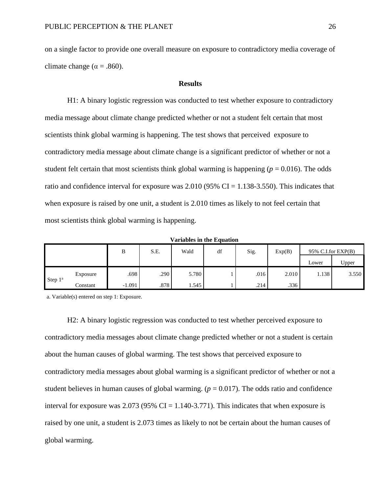on a single factor to provide one overall measure on exposure to contradictory media coverage of climate change ( $\alpha = .860$ ).

## **Results**

H1: A binary logistic regression was conducted to test whether exposure to contradictory media message about climate change predicted whether or not a student felt certain that most scientists think global warming is happening. The test shows that perceived exposure to contradictory media message about climate change is a significant predictor of whether or not a student felt certain that most scientists think global warming is happening ( $p = 0.016$ ). The odds ratio and confidence interval for exposure was  $2.010$  (95% CI = 1.138-3.550). This indicates that when exposure is raised by one unit, a student is 2.010 times as likely to not feel certain that most scientists think global warming is happening.

**Variables in the Equation**

|            |          | B        | S.E. | Wald  | df | Sig. | Exp(B) |       | 95% C.I.for EXP(B) |
|------------|----------|----------|------|-------|----|------|--------|-------|--------------------|
|            |          |          |      |       |    |      |        | Lower | Upper              |
| Step $1^a$ | Exposure | .698     | .290 | 5.780 |    | .016 | 2.010  | 1.138 | 3.550              |
|            | Constant | $-1.091$ | .878 | 1.545 |    | .214 | .336   |       |                    |

a. Variable(s) entered on step 1: Exposure.

H2: A binary logistic regression was conducted to test whether perceived exposure to contradictory media messages about climate change predicted whether or not a student is certain about the human causes of global warming. The test shows that perceived exposure to contradictory media messages about global warming is a significant predictor of whether or not a student believes in human causes of global warming.  $(p = 0.017)$ . The odds ratio and confidence interval for exposure was  $2.073$  (95% CI = 1.140-3.771). This indicates that when exposure is raised by one unit, a student is 2.073 times as likely to not be certain about the human causes of global warming.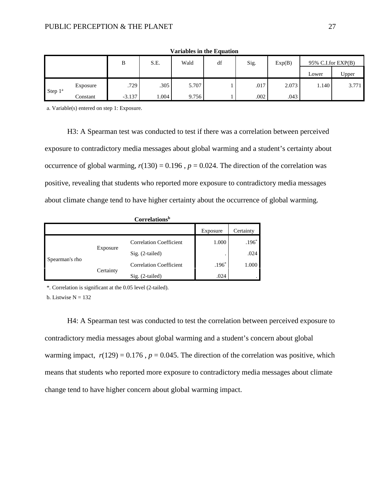|                     |          | B        | S.E.  | Wald  | df | Sig. | Exp(B) |       | 95% C.I.for EXP(B) |
|---------------------|----------|----------|-------|-------|----|------|--------|-------|--------------------|
|                     |          |          |       |       |    |      |        | Lower | Upper              |
| Step 1 <sup>a</sup> | Exposure | .729     | .305  | 5.707 |    | .017 | 2.073  | 1.140 | 3.771              |
|                     | Constant | $-3.137$ | 1.004 | 9.756 |    | .002 | .043   |       |                    |

**Variables in the Equation**

a. Variable(s) entered on step 1: Exposure.

H3: A Spearman test was conducted to test if there was a correlation between perceived exposure to contradictory media messages about global warming and a student's certainty about occurrence of global warming,  $r(130) = 0.196$ ,  $p = 0.024$ . The direction of the correlation was positive, revealing that students who reported more exposure to contradictory media messages about climate change tend to have higher certainty about the occurrence of global warming.

| Correlations <sup>b</sup> |           |                                |          |           |  |  |  |
|---------------------------|-----------|--------------------------------|----------|-----------|--|--|--|
|                           |           |                                | Exposure | Certainty |  |  |  |
| Spearman's rho            |           | <b>Correlation Coefficient</b> | 1.000    | $.196*$   |  |  |  |
|                           | Exposure  | $Sig. (2-tailed)$              |          | .024      |  |  |  |
|                           |           | <b>Correlation Coefficient</b> | $.196*$  | 1.000     |  |  |  |
|                           | Certainty | $Sig. (2-tailed)$              | .024     |           |  |  |  |

\*. Correlation is significant at the 0.05 level (2-tailed).

b. Listwise  $N = 132$ 

H4: A Spearman test was conducted to test the correlation between perceived exposure to contradictory media messages about global warming and a student's concern about global warming impact,  $r(129) = 0.176$ ,  $p = 0.045$ . The direction of the correlation was positive, which means that students who reported more exposure to contradictory media messages about climate change tend to have higher concern about global warming impact.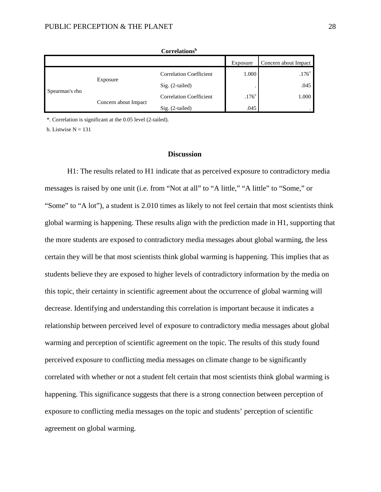|                |                      |                                | Exposure | Concern about Impact |
|----------------|----------------------|--------------------------------|----------|----------------------|
| Spearman's rho |                      | <b>Correlation Coefficient</b> |          | $.176*$              |
|                | Exposure             | $Sig. (2-tailed)$              |          | .045                 |
|                |                      | <b>Correlation Coefficient</b> | $.176*$  | 1.000                |
|                | Concern about Impact | $Sig. (2-tailed)$              | .045     | $\cdot$              |

**Correlationsb**

\*. Correlation is significant at the 0.05 level (2-tailed).

b. Listwise  $N = 131$ 

#### **Discussion**

H1: The results related to H1 indicate that as perceived exposure to contradictory media messages is raised by one unit (i.e. from "Not at all" to "A little," "A little" to "Some," or "Some" to "A lot"), a student is 2.010 times as likely to not feel certain that most scientists think global warming is happening. These results align with the prediction made in H1, supporting that the more students are exposed to contradictory media messages about global warming, the less certain they will be that most scientists think global warming is happening. This implies that as students believe they are exposed to higher levels of contradictory information by the media on this topic, their certainty in scientific agreement about the occurrence of global warming will decrease. Identifying and understanding this correlation is important because it indicates a relationship between perceived level of exposure to contradictory media messages about global warming and perception of scientific agreement on the topic. The results of this study found perceived exposure to conflicting media messages on climate change to be significantly correlated with whether or not a student felt certain that most scientists think global warming is happening. This significance suggests that there is a strong connection between perception of exposure to conflicting media messages on the topic and students' perception of scientific agreement on global warming.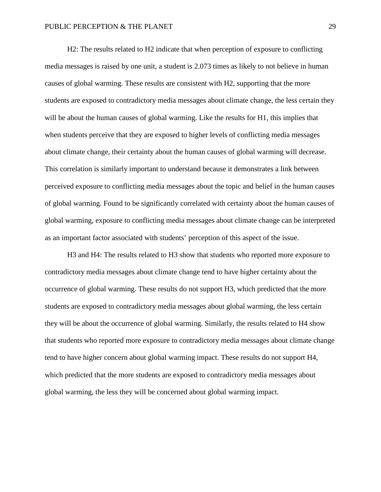H2: The results related to H2 indicate that when perception of exposure to conflicting media messages is raised by one unit, a student is 2.073 times as likely to not believe in human causes of global warming. These results are consistent with H2, supporting that the more students are exposed to contradictory media messages about climate change, the less certain they will be about the human causes of global warming. Like the results for H1, this implies that when students perceive that they are exposed to higher levels of conflicting media messages about climate change, their certainty about the human causes of global warming will decrease. This correlation is similarly important to understand because it demonstrates a link between perceived exposure to conflicting media messages about the topic and belief in the human causes of global warming. Found to be significantly correlated with certainty about the human causes of global warming, exposure to conflicting media messages about climate change can be interpreted as an important factor associated with students' perception of this aspect of the issue.

H3 and H4: The results related to H3 show that students who reported more exposure to contradictory media messages about climate change tend to have higher certainty about the occurrence of global warming. These results do not support H3, which predicted that the more students are exposed to contradictory media messages about global warming, the less certain they will be about the occurrence of global warming. Similarly, the results related to H4 show that students who reported more exposure to contradictory media messages about climate change tend to have higher concern about global warming impact. These results do not support H4, which predicted that the more students are exposed to contradictory media messages about global warming, the less they will be concerned about global warming impact.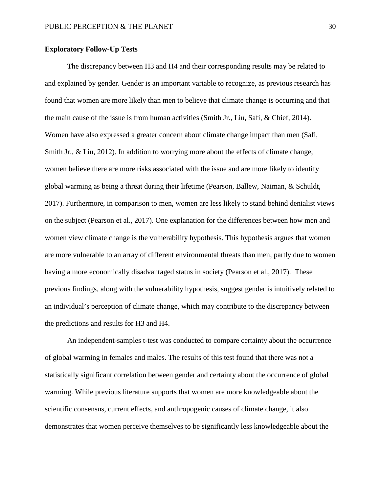#### **Exploratory Follow-Up Tests**

The discrepancy between H3 and H4 and their corresponding results may be related to and explained by gender. Gender is an important variable to recognize, as previous research has found that women are more likely than men to believe that climate change is occurring and that the main cause of the issue is from human activities (Smith Jr., Liu, Safi, & Chief, 2014). Women have also expressed a greater concern about climate change impact than men (Safi, Smith Jr., & Liu, 2012). In addition to worrying more about the effects of climate change, women believe there are more risks associated with the issue and are more likely to identify global warming as being a threat during their lifetime (Pearson, Ballew, Naiman, & Schuldt, 2017). Furthermore, in comparison to men, women are less likely to stand behind denialist views on the subject (Pearson et al., 2017). One explanation for the differences between how men and women view climate change is the vulnerability hypothesis. This hypothesis argues that women are more vulnerable to an array of different environmental threats than men, partly due to women having a more economically disadvantaged status in society (Pearson et al., 2017). These previous findings, along with the vulnerability hypothesis, suggest gender is intuitively related to an individual's perception of climate change, which may contribute to the discrepancy between the predictions and results for H3 and H4.

An independent-samples t-test was conducted to compare certainty about the occurrence of global warming in females and males. The results of this test found that there was not a statistically significant correlation between gender and certainty about the occurrence of global warming. While previous literature supports that women are more knowledgeable about the scientific consensus, current effects, and anthropogenic causes of climate change, it also demonstrates that women perceive themselves to be significantly less knowledgeable about the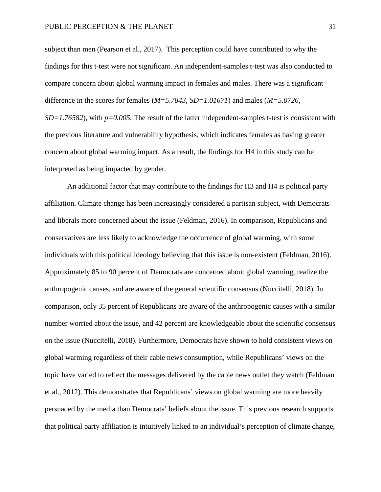subject than men (Pearson et al., 2017). This perception could have contributed to why the findings for this t-test were not significant. An independent-samples t-test was also conducted to compare concern about global warming impact in females and males. There was a significant difference in the scores for females (*M=5.7843, SD=1.01671*) and males (*M=5.0726, SD=1.76582*), with *p=0.005.* The result of the latter independent-samples t-test is consistent with the previous literature and vulnerability hypothesis, which indicates females as having greater concern about global warming impact. As a result, the findings for H4 in this study can be interpreted as being impacted by gender.

An additional factor that may contribute to the findings for H3 and H4 is political party affiliation. Climate change has been increasingly considered a partisan subject, with Democrats and liberals more concerned about the issue (Feldman, 2016). In comparison, Republicans and conservatives are less likely to acknowledge the occurrence of global warming, with some individuals with this political ideology believing that this issue is non-existent (Feldman, 2016). Approximately 85 to 90 percent of Democrats are concerned about global warming, realize the anthropogenic causes, and are aware of the general scientific consensus (Nuccitelli, 2018). In comparison, only 35 percent of Republicans are aware of the anthropogenic causes with a similar number worried about the issue, and 42 percent are knowledgeable about the scientific consensus on the issue (Nuccitelli, 2018). Furthermore, Democrats have shown to hold consistent views on global warming regardless of their cable news consumption, while Republicans' views on the topic have varied to reflect the messages delivered by the cable news outlet they watch (Feldman et al., 2012). This demonstrates that Republicans' views on global warming are more heavily persuaded by the media than Democrats' beliefs about the issue. This previous research supports that political party affiliation is intuitively linked to an individual's perception of climate change,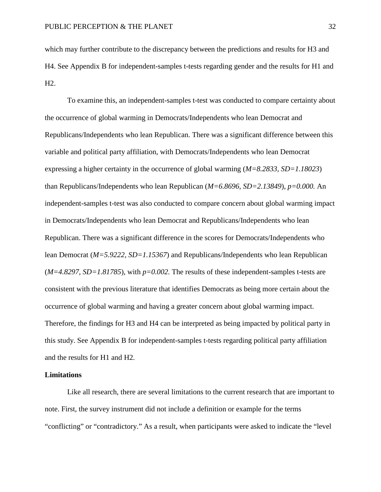which may further contribute to the discrepancy between the predictions and results for H3 and H4. See Appendix B for independent-samples t-tests regarding gender and the results for H1 and H2.

To examine this, an independent-samples t-test was conducted to compare certainty about the occurrence of global warming in Democrats/Independents who lean Democrat and Republicans/Independents who lean Republican. There was a significant difference between this variable and political party affiliation, with Democrats/Independents who lean Democrat expressing a higher certainty in the occurrence of global warming (*M=8.2833, SD=1.18023*) than Republicans/Independents who lean Republican (*M=6.8696, SD=2.13849*), *p=0.000.* An independent-samples t-test was also conducted to compare concern about global warming impact in Democrats/Independents who lean Democrat and Republicans/Independents who lean Republican. There was a significant difference in the scores for Democrats/Independents who lean Democrat (*M=5.9222, SD=1.15367*) and Republicans/Independents who lean Republican (*M=4.8297, SD=1.81785*), with *p=0.002.* The results of these independent-samples t-tests are consistent with the previous literature that identifies Democrats as being more certain about the occurrence of global warming and having a greater concern about global warming impact. Therefore, the findings for H3 and H4 can be interpreted as being impacted by political party in this study. See Appendix B for independent-samples t-tests regarding political party affiliation and the results for H1 and H2.

#### **Limitations**

Like all research, there are several limitations to the current research that are important to note. First, the survey instrument did not include a definition or example for the terms "conflicting" or "contradictory." As a result, when participants were asked to indicate the "level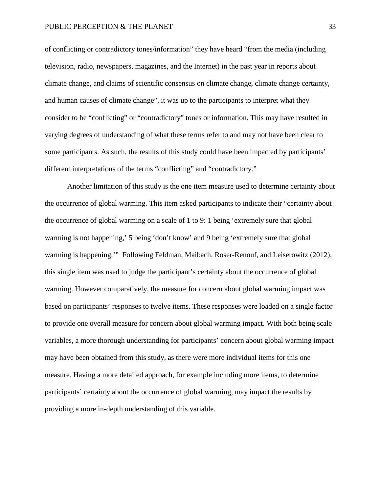of conflicting or contradictory tones/information" they have heard "from the media (including television, radio, newspapers, magazines, and the Internet) in the past year in reports about climate change, and claims of scientific consensus on climate change, climate change certainty, and human causes of climate change", it was up to the participants to interpret what they consider to be "conflicting" or "contradictory" tones or information. This may have resulted in varying degrees of understanding of what these terms refer to and may not have been clear to some participants. As such, the results of this study could have been impacted by participants' different interpretations of the terms "conflicting" and "contradictory."

Another limitation of this study is the one item measure used to determine certainty about the occurrence of global warming. This item asked participants to indicate their "certainty about the occurrence of global warming on a scale of 1 to 9: 1 being 'extremely sure that global warming is not happening,' 5 being 'don't know' and 9 being 'extremely sure that global warming is happening.'" Following Feldman, Maibach, Roser-Renouf, and Leiserowitz (2012), this single item was used to judge the participant's certainty about the occurrence of global warming. However comparatively, the measure for concern about global warming impact was based on participants' responses to twelve items. These responses were loaded on a single factor to provide one overall measure for concern about global warming impact. With both being scale variables, a more thorough understanding for participants' concern about global warming impact may have been obtained from this study, as there were more individual items for this one measure. Having a more detailed approach, for example including more items, to determine participants' certainty about the occurrence of global warming, may impact the results by providing a more in-depth understanding of this variable.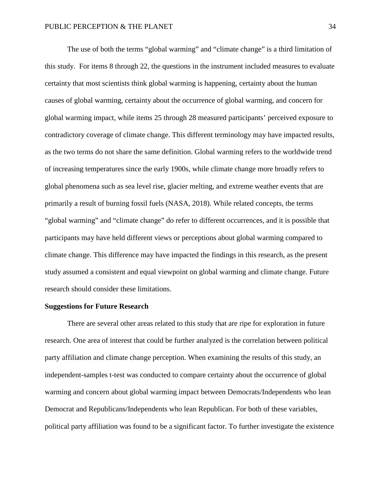The use of both the terms "global warming" and "climate change" is a third limitation of this study. For items 8 through 22, the questions in the instrument included measures to evaluate certainty that most scientists think global warming is happening, certainty about the human causes of global warming, certainty about the occurrence of global warming, and concern for global warming impact, while items 25 through 28 measured participants' perceived exposure to contradictory coverage of climate change. This different terminology may have impacted results, as the two terms do not share the same definition. Global warming refers to the worldwide trend of increasing temperatures since the early 1900s, while climate change more broadly refers to global phenomena such as sea level rise, glacier melting, and extreme weather events that are primarily a result of burning fossil fuels (NASA, 2018). While related concepts, the terms "global warming" and "climate change" do refer to different occurrences, and it is possible that participants may have held different views or perceptions about global warming compared to climate change. This difference may have impacted the findings in this research, as the present study assumed a consistent and equal viewpoint on global warming and climate change. Future research should consider these limitations.

#### **Suggestions for Future Research**

There are several other areas related to this study that are ripe for exploration in future research. One area of interest that could be further analyzed is the correlation between political party affiliation and climate change perception. When examining the results of this study, an independent-samples t-test was conducted to compare certainty about the occurrence of global warming and concern about global warming impact between Democrats/Independents who lean Democrat and Republicans/Independents who lean Republican. For both of these variables, political party affiliation was found to be a significant factor. To further investigate the existence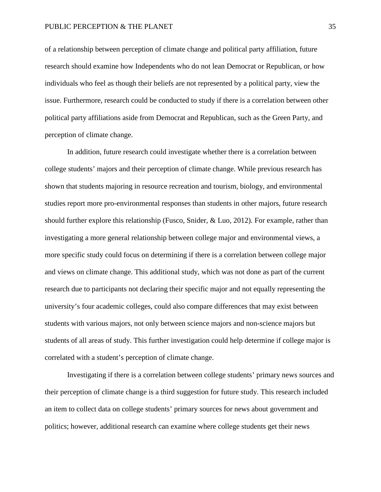of a relationship between perception of climate change and political party affiliation, future research should examine how Independents who do not lean Democrat or Republican, or how individuals who feel as though their beliefs are not represented by a political party, view the issue. Furthermore, research could be conducted to study if there is a correlation between other political party affiliations aside from Democrat and Republican, such as the Green Party, and perception of climate change.

In addition, future research could investigate whether there is a correlation between college students' majors and their perception of climate change. While previous research has shown that students majoring in resource recreation and tourism, biology, and environmental studies report more pro-environmental responses than students in other majors, future research should further explore this relationship (Fusco, Snider, & Luo, 2012). For example, rather than investigating a more general relationship between college major and environmental views, a more specific study could focus on determining if there is a correlation between college major and views on climate change. This additional study, which was not done as part of the current research due to participants not declaring their specific major and not equally representing the university's four academic colleges, could also compare differences that may exist between students with various majors, not only between science majors and non-science majors but students of all areas of study. This further investigation could help determine if college major is correlated with a student's perception of climate change.

Investigating if there is a correlation between college students' primary news sources and their perception of climate change is a third suggestion for future study. This research included an item to collect data on college students' primary sources for news about government and politics; however, additional research can examine where college students get their news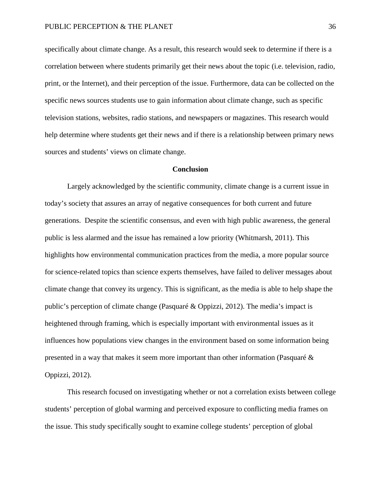specifically about climate change. As a result, this research would seek to determine if there is a correlation between where students primarily get their news about the topic (i.e. television, radio, print, or the Internet), and their perception of the issue. Furthermore, data can be collected on the specific news sources students use to gain information about climate change, such as specific television stations, websites, radio stations, and newspapers or magazines. This research would help determine where students get their news and if there is a relationship between primary news sources and students' views on climate change.

#### **Conclusion**

Largely acknowledged by the scientific community, climate change is a current issue in today's society that assures an array of negative consequences for both current and future generations. Despite the scientific consensus, and even with high public awareness, the general public is less alarmed and the issue has remained a low priority (Whitmarsh, 2011). This highlights how environmental communication practices from the media, a more popular source for science-related topics than science experts themselves, have failed to deliver messages about climate change that convey its urgency. This is significant, as the media is able to help shape the public's perception of climate change (Pasquaré & Oppizzi, 2012). The media's impact is heightened through framing, which is especially important with environmental issues as it influences how populations view changes in the environment based on some information being presented in a way that makes it seem more important than other information (Pasquaré & Oppizzi, 2012).

This research focused on investigating whether or not a correlation exists between college students' perception of global warming and perceived exposure to conflicting media frames on the issue. This study specifically sought to examine college students' perception of global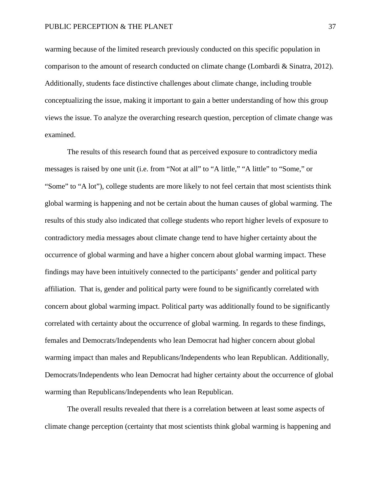warming because of the limited research previously conducted on this specific population in comparison to the amount of research conducted on climate change (Lombardi & Sinatra, 2012). Additionally, students face distinctive challenges about climate change, including trouble conceptualizing the issue, making it important to gain a better understanding of how this group views the issue. To analyze the overarching research question, perception of climate change was examined.

The results of this research found that as perceived exposure to contradictory media messages is raised by one unit (i.e. from "Not at all" to "A little," "A little" to "Some," or "Some" to "A lot"), college students are more likely to not feel certain that most scientists think global warming is happening and not be certain about the human causes of global warming. The results of this study also indicated that college students who report higher levels of exposure to contradictory media messages about climate change tend to have higher certainty about the occurrence of global warming and have a higher concern about global warming impact. These findings may have been intuitively connected to the participants' gender and political party affiliation. That is, gender and political party were found to be significantly correlated with concern about global warming impact. Political party was additionally found to be significantly correlated with certainty about the occurrence of global warming. In regards to these findings, females and Democrats/Independents who lean Democrat had higher concern about global warming impact than males and Republicans/Independents who lean Republican. Additionally, Democrats/Independents who lean Democrat had higher certainty about the occurrence of global warming than Republicans/Independents who lean Republican.

The overall results revealed that there is a correlation between at least some aspects of climate change perception (certainty that most scientists think global warming is happening and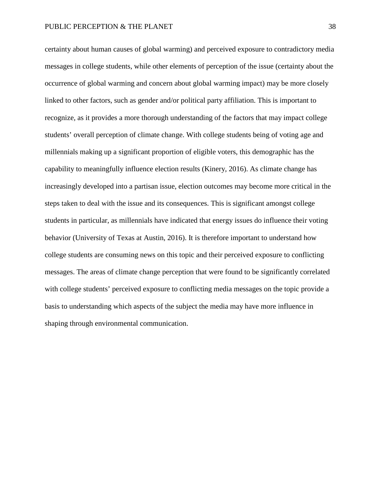certainty about human causes of global warming) and perceived exposure to contradictory media messages in college students, while other elements of perception of the issue (certainty about the occurrence of global warming and concern about global warming impact) may be more closely linked to other factors, such as gender and/or political party affiliation. This is important to recognize, as it provides a more thorough understanding of the factors that may impact college students' overall perception of climate change. With college students being of voting age and millennials making up a significant proportion of eligible voters, this demographic has the capability to meaningfully influence election results (Kinery, 2016). As climate change has increasingly developed into a partisan issue, election outcomes may become more critical in the steps taken to deal with the issue and its consequences. This is significant amongst college students in particular, as millennials have indicated that energy issues do influence their voting behavior (University of Texas at Austin, 2016). It is therefore important to understand how college students are consuming news on this topic and their perceived exposure to conflicting messages. The areas of climate change perception that were found to be significantly correlated with college students' perceived exposure to conflicting media messages on the topic provide a basis to understanding which aspects of the subject the media may have more influence in shaping through environmental communication.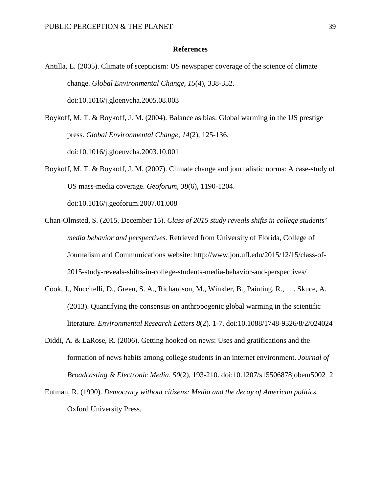#### **References**

- Antilla, L. (2005). Climate of scepticism: US newspaper coverage of the science of climate change. *Global Environmental Change, 15*(4), 338-352. doi:10.1016/j.gloenvcha.2005.08.003
- Boykoff, M. T. & Boykoff, J. M. (2004). Balance as bias: Global warming in the US prestige press. *Global Environmental Change, 14*(2), 125-136. doi:10.1016/j.gloenvcha.2003.10.001
- Boykoff, M. T. & Boykoff, J. M. (2007). Climate change and journalistic norms: A case-study of US mass-media coverage. *Geoforum, 38*(6), 1190-1204. doi:10.1016/j.geoforum.2007.01.008
- Chan-Olmsted, S. (2015, December 15). *Class of 2015 study reveals shifts in college students' media behavior and perspectives.* Retrieved from University of Florida, College of Journalism and Communications website: http://www.jou.ufl.edu/2015/12/15/class-of-2015-study-reveals-shifts-in-college-students-media-behavior-and-perspectives/
- Cook, J., Nuccitelli, D., Green, S. A., Richardson, M., Winkler, B., Painting, R., . . . Skuce, A. (2013). Quantifying the consensus on anthropogenic global warming in the scientific literature. *Environmental Research Letters 8*(2)*.* 1-7. doi:10.1088/1748-9326/8/2/024024
- Diddi, A. & LaRose, R. (2006). Getting hooked on news: Uses and gratifications and the formation of news habits among college students in an internet environment. *Journal of Broadcasting & Electronic Media, 50*(2), 193-210. doi:10.1207/s15506878jobem5002\_2
- Entman, R. (1990). *Democracy without citizens: Media and the decay of American politics.*  Oxford University Press.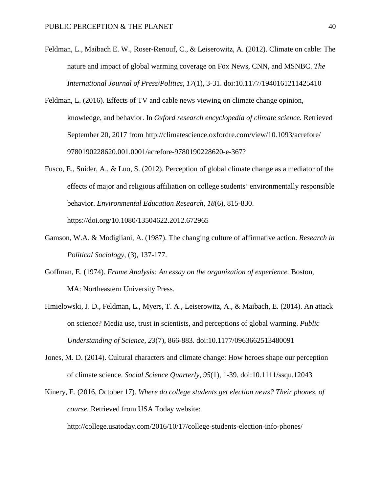- Feldman, L., Maibach E. W., Roser-Renouf, C., & Leiserowitz, A. (2012). Climate on cable: The nature and impact of global warming coverage on Fox News, CNN, and MSNBC. *The International Journal of Press/Politics, 17*(1), 3-31. doi:10.1177/1940161211425410
- Feldman, L. (2016). Effects of TV and cable news viewing on climate change opinion, knowledge, and behavior. In *Oxford research encyclopedia of climate science.* Retrieved September 20, 2017 from http://climatescience.oxfordre.com/view/10.1093/acrefore/ 9780190228620.001.0001/acrefore-9780190228620-e-367?
- Fusco, E., Snider, A., & Luo, S. (2012). Perception of global climate change as a mediator of the effects of major and religious affiliation on college students' environmentally responsible behavior. *Environmental Education Research, 18*(6), 815-830. https://doi.org/10.1080/13504622.2012.672965
- Gamson, W.A. & Modigliani, A. (1987). The changing culture of affirmative action. *Research in Political Sociology,* (3), 137-177.
- Goffman, E. (1974). *Frame Analysis: An essay on the organization of experience.* Boston, MA: Northeastern University Press.
- Hmielowski, J. D., Feldman, L., Myers, T. A., Leiserowitz, A., & Maibach, E. (2014). An attack on science? Media use, trust in scientists, and perceptions of global warming. *Public Understanding of Science, 23*(7), 866-883. doi:10.1177/0963662513480091
- Jones, M. D. (2014). Cultural characters and climate change: How heroes shape our perception of climate science. *Social Science Quarterly, 95*(1), 1-39. doi:10.1111/ssqu.12043
- Kinery, E. (2016, October 17). *Where do college students get election news? Their phones, of course.* Retrieved from USA Today website:

http://college.usatoday.com/2016/10/17/college-students-election-info-phones/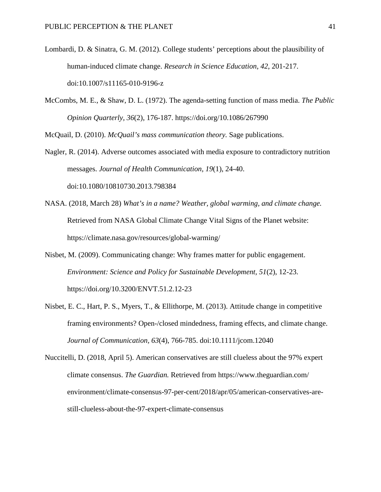- Lombardi, D. & Sinatra, G. M. (2012). College students' perceptions about the plausibility of human-induced climate change. *Research in Science Education, 42*, 201-217. doi:10.1007/s11165-010-9196-z
- McCombs, M. E., & Shaw, D. L. (1972). The agenda-setting function of mass media. *The Public Opinion Quarterly, 36*(2), 176-187. https://doi.org/10.1086/267990

McQuail, D. (2010). *McQuail's mass communication theory.* Sage publications.

Nagler, R. (2014). Adverse outcomes associated with media exposure to contradictory nutrition messages. *Journal of Health Communication, 19*(1), 24-40. doi:10.1080/10810730.2013.798384

- NASA. (2018, March 28) *What's in a name? Weather, global warming, and climate change.*  Retrieved from NASA Global Climate Change Vital Signs of the Planet website: https://climate.nasa.gov/resources/global-warming/
- Nisbet, M. (2009). Communicating change: Why frames matter for public engagement. *Environment: Science and Policy for Sustainable Development, 51*(2), 12-23. https://doi.org/10.3200/ENVT.51.2.12-23
- Nisbet, E. C., Hart, P. S., Myers, T., & Ellithorpe, M. (2013). Attitude change in competitive framing environments? Open-/closed mindedness, framing effects, and climate change. *Journal of Communication, 63*(4), 766-785. doi:10.1111/jcom.12040
- Nuccitelli, D. (2018, April 5). American conservatives are still clueless about the 97% expert climate consensus. *The Guardian.* Retrieved from https://www.theguardian.com/ environment/climate-consensus-97-per-cent/2018/apr/05/american-conservatives-arestill-clueless-about-the-97-expert-climate-consensus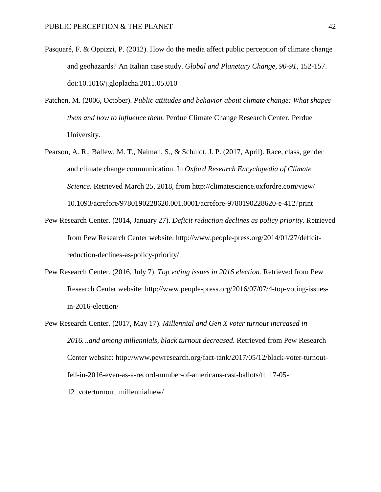- Pasquaré, F. & Oppizzi, P. (2012). How do the media affect public perception of climate change and geohazards? An Italian case study. *Global and Planetary Change, 90-91*, 152-157. doi:10.1016/j.gloplacha.2011.05.010
- Patchen, M. (2006, October). *Public attitudes and behavior about climate change: What shapes them and how to influence them.* Perdue Climate Change Research Center, Perdue University.
- Pearson, A. R., Ballew, M. T., Naiman, S., & Schuldt, J. P. (2017, April). Race, class, gender and climate change communication. In *Oxford Research Encyclopedia of Climate Science.* Retrieved March 25, 2018, from http://climatescience.oxfordre.com/view/ 10.1093/acrefore/9780190228620.001.0001/acrefore-9780190228620-e-412?print
- Pew Research Center. (2014, January 27). *Deficit reduction declines as policy priority.* Retrieved from Pew Research Center website: http://www.people-press.org/2014/01/27/deficitreduction-declines-as-policy-priority/
- Pew Research Center. (2016, July 7). *Top voting issues in 2016 election.* Retrieved from Pew Research Center website: http://www.people-press.org/2016/07/07/4-top-voting-issuesin-2016-election/
- Pew Research Center. (2017, May 17). *Millennial and Gen X voter turnout increased in 2016…and among millennials, black turnout decreased.* Retrieved from Pew Research Center website: http://www.pewresearch.org/fact-tank/2017/05/12/black-voter-turnoutfell-in-2016-even-as-a-record-number-of-americans-cast-ballots/ft\_17-05- 12\_voterturnout\_millennialnew/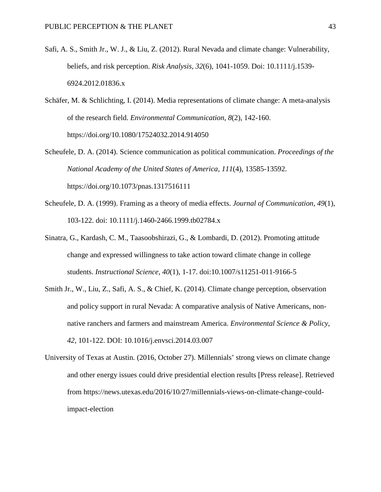- Safi, A. S., Smith Jr., W. J., & Liu, Z. (2012). Rural Nevada and climate change: Vulnerability, beliefs, and risk perception. *Risk Analysis, 32*(6), 1041-1059. Doi: 10.1111/j.1539- 6924.2012.01836.x
- Schäfer, M. & Schlichting, I. (2014). Media representations of climate change: A meta-analysis of the research field. *Environmental Communication, 8*(2), 142-160. https://doi.org/10.1080/17524032.2014.914050
- Scheufele, D. A. (2014). Science communication as political communication. *Proceedings of the National Academy of the United States of America, 111*(4), 13585-13592. https://doi.org/10.1073/pnas.1317516111
- Scheufele, D. A. (1999). Framing as a theory of media effects. *Journal of Communication, 49*(1), 103-122. doi: 10.1111/j.1460-2466.1999.tb02784.x
- Sinatra, G., Kardash, C. M., Taasoobshirazi, G., & Lombardi, D. (2012). Promoting attitude change and expressed willingness to take action toward climate change in college students. *Instructional Science, 40*(1), 1-17. doi:10.1007/s11251-011-9166-5
- Smith Jr., W., Liu, Z., Safi, A. S., & Chief, K. (2014). Climate change perception, observation and policy support in rural Nevada: A comparative analysis of Native Americans, nonnative ranchers and farmers and mainstream America. *Environmental Science & Policy, 42*, 101-122. DOI: 10.1016/j.envsci.2014.03.007
- University of Texas at Austin. (2016, October 27). Millennials' strong views on climate change and other energy issues could drive presidential election results [Press release]. Retrieved from https://news.utexas.edu/2016/10/27/millennials-views-on-climate-change-couldimpact-election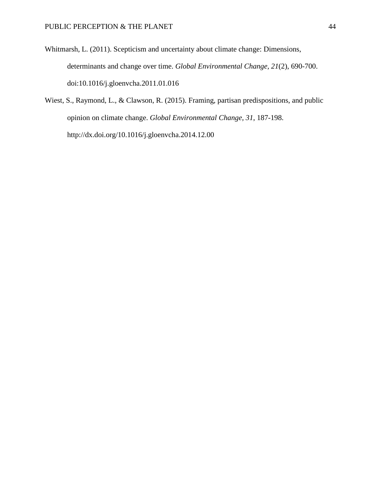- Whitmarsh, L. (2011). Scepticism and uncertainty about climate change: Dimensions, determinants and change over time. *Global Environmental Change, 21*(2), 690-700. doi:10.1016/j.gloenvcha.2011.01.016
- Wiest, S., Raymond, L., & Clawson, R. (2015). Framing, partisan predispositions, and public opinion on climate change. *Global Environmental Change, 31*, 187-198. http://dx.doi.org/10.1016/j.gloenvcha.2014.12.00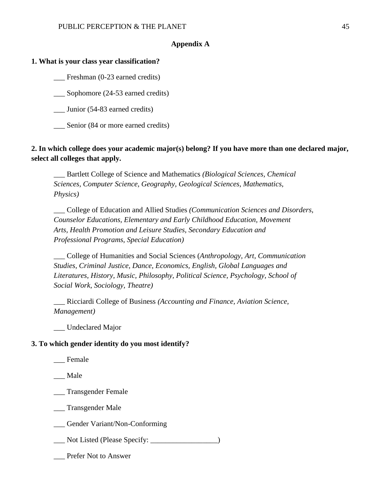## **Appendix A**

#### **1. What is your class year classification?**

Freshman (0-23 earned credits)

\_\_\_ Sophomore (24-53 earned credits)

\_\_\_ Junior (54-83 earned credits)

\_\_\_ Senior (84 or more earned credits)

**2. In which college does your academic major(s) belong? If you have more than one declared major, select all colleges that apply.**

\_\_\_ Bartlett College of Science and Mathematics *(Biological Sciences, Chemical Sciences, Computer Science, Geography, Geological Sciences, Mathematics, Physics)*

\_\_\_ College of Education and Allied Studies *(Communication Sciences and Disorders, Counselor Educations, Elementary and Early Childhood Education, Movement Arts, Health Promotion and Leisure Studies, Secondary Education and Professional Programs, Special Education)*

\_\_\_ College of Humanities and Social Sciences (*Anthropology, Art, Communication Studies, Criminal Justice, Dance, Economics, English, Global Languages and Literatures, History, Music, Philosophy, Political Science, Psychology, School of Social Work, Sociology, Theatre)*

\_\_\_ Ricciardi College of Business *(Accounting and Finance, Aviation Science, Management)*

\_\_\_ Undeclared Major

#### **3. To which gender identity do you most identify?**

\_\_\_ Female

\_\_\_ Male

\_\_\_ Transgender Female

\_\_\_ Transgender Male

\_\_\_ Gender Variant/Non-Conforming

\_\_\_ Not Listed (Please Specify: \_\_\_\_\_\_\_\_\_\_\_\_\_\_\_\_\_\_)

Prefer Not to Answer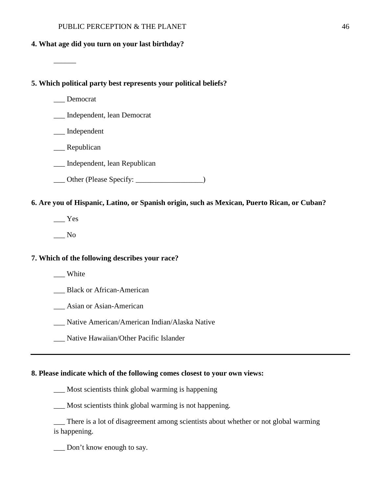# **4. What age did you turn on your last birthday?**

# **5. Which political party best represents your political beliefs?**

\_\_\_ Democrat

 $\overline{\phantom{a}}$ 

\_\_\_ Independent, lean Democrat

- \_\_\_ Independent
- \_\_\_ Republican
- \_\_\_ Independent, lean Republican
- \_\_\_ Other (Please Specify: \_\_\_\_\_\_\_\_\_\_\_\_\_\_\_\_\_\_)

# **6. Are you of Hispanic, Latino, or Spanish origin, such as Mexican, Puerto Rican, or Cuban?**

- $\_\_\$  Yes
- \_\_\_ No

#### **7. Which of the following describes your race?**

\_\_\_ White

\_\_\_ Black or African-American

- \_\_\_ Asian or Asian-American
- \_\_\_ Native American/American Indian/Alaska Native
- \_\_\_ Native Hawaiian/Other Pacific Islander

#### **8. Please indicate which of the following comes closest to your own views:**

- \_\_\_ Most scientists think global warming is happening
- \_\_\_ Most scientists think global warming is not happening.

\_\_\_ There is a lot of disagreement among scientists about whether or not global warming is happening.

\_\_\_ Don't know enough to say.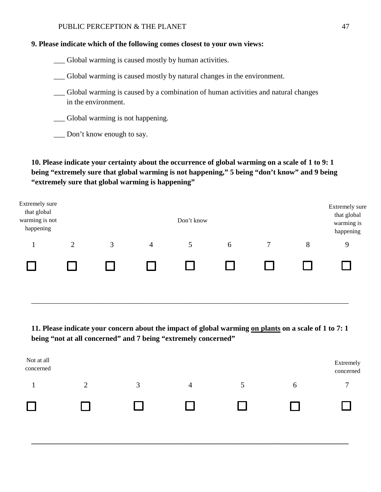# **9. Please indicate which of the following comes closest to your own views:**

\_\_\_ Global warming is caused mostly by human activities.

- \_\_\_ Global warming is caused mostly by natural changes in the environment.
- \_\_\_ Global warming is caused by a combination of human activities and natural changes in the environment.

\_\_\_ Global warming is not happening.

\_\_\_ Don't know enough to say.

**10. Please indicate your certainty about the occurrence of global warming on a scale of 1 to 9: 1 being "extremely sure that global warming is not happening," 5 being "don't know" and 9 being "extremely sure that global warming is happening"**

| Extremely sure<br>that global<br>warming is not<br>happening |                |   |   | Don't know |   |   |   | Extremely sure<br>that global<br>warming is<br>happening |
|--------------------------------------------------------------|----------------|---|---|------------|---|---|---|----------------------------------------------------------|
|                                                              | $\overline{2}$ | 3 | 4 | 5          | 6 | ⇁ | 8 | 9                                                        |
|                                                              |                |   |   |            |   |   |   |                                                          |

**11. Please indicate your concern about the impact of global warming on plants on a scale of 1 to 7: 1 being "not at all concerned" and 7 being "extremely concerned"**

\_\_\_\_\_\_\_\_\_\_\_\_\_\_\_\_\_\_\_\_\_\_\_\_\_\_\_\_\_\_\_\_\_\_\_\_\_\_\_\_\_\_\_\_\_\_\_\_\_\_\_\_\_\_\_\_\_\_\_\_\_\_\_\_\_\_\_\_\_\_\_\_\_\_\_\_\_\_\_\_\_\_\_\_\_

| Not at all<br>concerned |   |                |   |               |   | Extremely<br>concerned |
|-------------------------|---|----------------|---|---------------|---|------------------------|
|                         | ◠ | $\mathbf{R}$   | 4 | $\mathcal{D}$ | 6 |                        |
|                         |   | $\blacksquare$ |   |               |   |                        |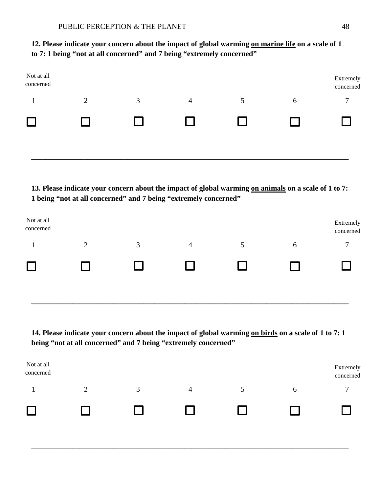# **12. Please indicate your concern about the impact of global warming on marine life on a scale of 1 to 7: 1 being "not at all concerned" and 7 being "extremely concerned"**

| Not at all<br>concerned |   |   |                |   |   | Extremely<br>concerned |
|-------------------------|---|---|----------------|---|---|------------------------|
|                         | 2 | 3 | $\overline{4}$ | 5 | 6 | $\mathbf{r}$           |
|                         |   |   |                |   |   |                        |

**13. Please indicate your concern about the impact of global warming on animals on a scale of 1 to 7: 1 being "not at all concerned" and 7 being "extremely concerned"**

| Not at all<br>concerned |                |   |                |   |   | Extremely<br>concerned |
|-------------------------|----------------|---|----------------|---|---|------------------------|
|                         | $\overline{2}$ | 3 | $\overline{4}$ | 5 | 6 | ⇁                      |
|                         |                |   |                |   |   |                        |

**14. Please indicate your concern about the impact of global warming on birds on a scale of 1 to 7: 1**  being "not at all concerned" and 7 being "extremely concerned"

**\_\_\_\_\_\_\_\_\_\_\_\_\_\_\_\_\_\_\_\_\_\_\_\_\_\_\_\_\_\_\_\_\_\_\_\_\_\_\_\_\_\_\_\_\_\_\_\_\_\_\_\_\_\_\_\_\_\_\_\_\_\_\_\_\_\_\_\_\_\_\_\_\_\_\_\_\_\_\_\_\_\_\_\_\_**

| Not at all<br>concerned |        |                   |   |              |   | Extremely<br>concerned |
|-------------------------|--------|-------------------|---|--------------|---|------------------------|
|                         | ⌒<br>∠ | $\mathbf{z}$<br>ت | 4 | ◡            | O | −                      |
|                         |        |                   |   | $\mathbf{L}$ |   |                        |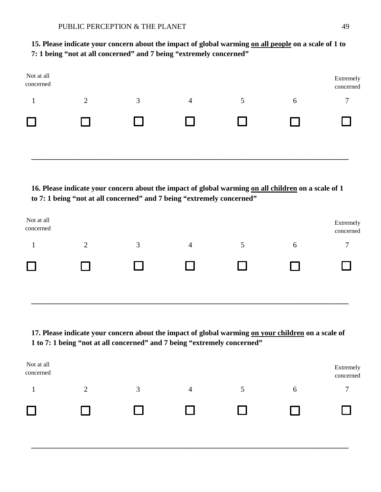# **15. Please indicate your concern about the impact of global warming on all people on a scale of 1 to 7: 1 being "not at all concerned" and 7 being "extremely concerned"**

| Not at all<br>concerned |   |   |                |   |   | Extremely<br>concerned |
|-------------------------|---|---|----------------|---|---|------------------------|
|                         | 2 | 3 | $\overline{4}$ | 5 | 6 | 7                      |
|                         |   |   |                |   |   |                        |

**16. Please indicate your concern about the impact of global warming on all children on a scale of 1 to 7: 1 being "not at all concerned" and 7 being "extremely concerned"**

| Not at all<br>concerned |                |   |   |   | Extremely<br>concerned |
|-------------------------|----------------|---|---|---|------------------------|
|                         | $\overline{2}$ | 3 | 4 | 6 | $\mathbf{\tau}$        |
|                         |                |   |   |   |                        |

**17. Please indicate your concern about the impact of global warming on your children on a scale of 1 to 7: 1 being "not at all concerned" and 7 being "extremely concerned"**

**\_\_\_\_\_\_\_\_\_\_\_\_\_\_\_\_\_\_\_\_\_\_\_\_\_\_\_\_\_\_\_\_\_\_\_\_\_\_\_\_\_\_\_\_\_\_\_\_\_\_\_\_\_\_\_\_\_\_\_\_\_\_\_\_\_\_\_\_\_\_\_\_\_\_\_\_\_\_\_\_\_\_\_\_\_**

| Not at all<br>concerned |        |               |   |                               |   | Extremely<br>concerned |
|-------------------------|--------|---------------|---|-------------------------------|---|------------------------|
|                         | ി<br>↩ | $\mathcal{R}$ | 4 |                               | O | –                      |
|                         |        |               |   | <b>The Contract of Street</b> |   |                        |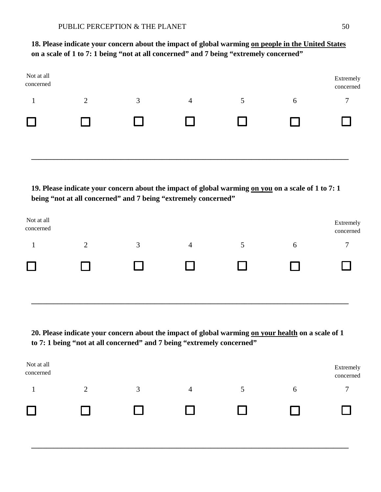# **18. Please indicate your concern about the impact of global warming on people in the United States on a scale of 1 to 7: 1 being "not at all concerned" and 7 being "extremely concerned"**

| Not at all<br>concerned |   |   |                |   |   | Extremely<br>concerned |
|-------------------------|---|---|----------------|---|---|------------------------|
|                         | 2 | 3 | $\overline{4}$ | 5 | 6 | $\mathbf{r}$           |
|                         |   |   |                |   |   |                        |

**19. Please indicate your concern about the impact of global warming on you on a scale of 1 to 7: 1 being "not at all concerned" and 7 being "extremely concerned"**

| Not at all<br>concerned |                |   |                |   |   | Extremely<br>concerned |
|-------------------------|----------------|---|----------------|---|---|------------------------|
|                         | $\overline{2}$ | 3 | $\overline{4}$ | J | 6 |                        |
|                         |                |   |                |   |   |                        |

**20. Please indicate your concern about the impact of global warming on your health on a scale of 1 to 7: 1 being "not at all concerned" and 7 being "extremely concerned"**

**\_\_\_\_\_\_\_\_\_\_\_\_\_\_\_\_\_\_\_\_\_\_\_\_\_\_\_\_\_\_\_\_\_\_\_\_\_\_\_\_\_\_\_\_\_\_\_\_\_\_\_\_\_\_\_\_\_\_\_\_\_\_\_\_\_\_\_\_\_\_\_\_\_\_\_\_\_\_\_\_\_\_\_\_\_**

| Not at all<br>concerned |        |              |                |   | Extremely<br>concerned |
|-------------------------|--------|--------------|----------------|---|------------------------|
|                         | ◠<br>↩ | $\mathbf{c}$ | $\overline{4}$ | b | $\mathbf{r}$           |
|                         |        |              |                |   |                        |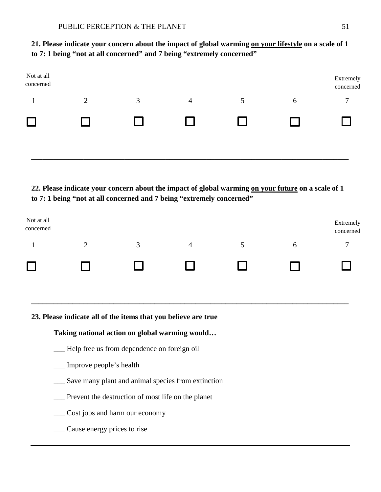# **21. Please indicate your concern about the impact of global warming on your lifestyle on a scale of 1 to 7: 1 being "not at all concerned" and 7 being "extremely concerned"**

| Not at all<br>concerned |                |   |                |   |   | Extremely<br>concerned |
|-------------------------|----------------|---|----------------|---|---|------------------------|
|                         | $\overline{2}$ | 3 | $\overline{4}$ | 5 | 6 | ⇁                      |
|                         |                |   |                |   |   |                        |

# **22. Please indicate your concern about the impact of global warming on your future on a scale of 1 to 7: 1 being "not at all concerned and 7 being "extremely concerned"**

| Not at all<br>concerned |   |           |   |  | Extremely<br>concerned |
|-------------------------|---|-----------|---|--|------------------------|
|                         | ി | $\bigcap$ | 4 |  |                        |
|                         |   |           |   |  |                        |

**\_\_\_\_\_\_\_\_\_\_\_\_\_\_\_\_\_\_\_\_\_\_\_\_\_\_\_\_\_\_\_\_\_\_\_\_\_\_\_\_\_\_\_\_\_\_\_\_\_\_\_\_\_\_\_\_\_\_\_\_\_\_\_\_\_\_\_\_\_\_\_\_\_\_\_\_\_\_\_\_\_\_\_\_\_**

**23. Please indicate all of the items that you believe are true** 

# **Taking national action on global warming would…**

- \_\_\_ Help free us from dependence on foreign oil
- \_\_\_ Improve people's health
- \_\_\_ Save many plant and animal species from extinction
- \_\_\_ Prevent the destruction of most life on the planet
- \_\_\_ Cost jobs and harm our economy
- \_\_\_ Cause energy prices to rise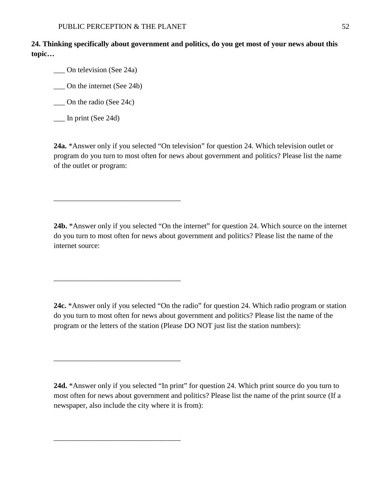\_\_\_\_\_\_\_\_\_\_\_\_\_\_\_\_\_\_\_\_\_\_\_\_\_\_\_\_\_\_\_\_\_\_

\_\_\_\_\_\_\_\_\_\_\_\_\_\_\_\_\_\_\_\_\_\_\_\_\_\_\_\_\_\_\_\_\_\_

\_\_\_\_\_\_\_\_\_\_\_\_\_\_\_\_\_\_\_\_\_\_\_\_\_\_\_\_\_\_\_\_\_\_

\_\_\_\_\_\_\_\_\_\_\_\_\_\_\_\_\_\_\_\_\_\_\_\_\_\_\_\_\_\_\_\_\_\_

**24. Thinking specifically about government and politics, do you get most of your news about this topic…**

\_\_\_ On television (See 24a)

\_\_\_ On the internet (See 24b)

\_\_\_ On the radio (See 24c)

\_\_\_ In print (See 24d)

**24a.** \*Answer only if you selected "On television" for question 24. Which television outlet or program do you turn to most often for news about government and politics? Please list the name of the outlet or program:

**24b.** \*Answer only if you selected "On the internet" for question 24. Which source on the internet do you turn to most often for news about government and politics? Please list the name of the internet source:

**24c.** \*Answer only if you selected "On the radio" for question 24. Which radio program or station do you turn to most often for news about government and politics? Please list the name of the program or the letters of the station (Please DO NOT just list the station numbers):

**24d.** \*Answer only if you selected "In print" for question 24. Which print source do you turn to most often for news about government and politics? Please list the name of the print source (If a newspaper, also include the city where it is from):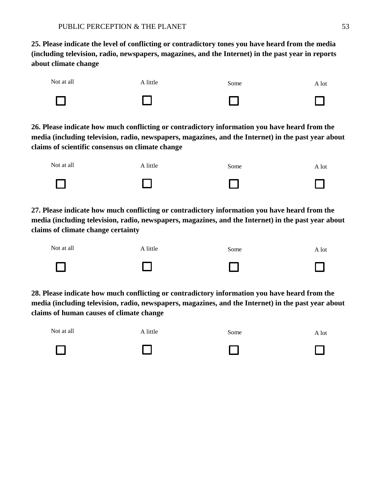**25. Please indicate the level of conflicting or contradictory tones you have heard from the media (including television, radio, newspapers, magazines, and the Internet) in the past year in reports about climate change** 



**26. Please indicate how much conflicting or contradictory information you have heard from the media (including television, radio, newspapers, magazines, and the Internet) in the past year about claims of scientific consensus on climate change**



**27. Please indicate how much conflicting or contradictory information you have heard from the media (including television, radio, newspapers, magazines, and the Internet) in the past year about claims of climate change certainty**



**28. Please indicate how much conflicting or contradictory information you have heard from the media (including television, radio, newspapers, magazines, and the Internet) in the past year about claims of human causes of climate change**

| Not at all     | A little | Some | A lot |
|----------------|----------|------|-------|
| $\blacksquare$ |          |      |       |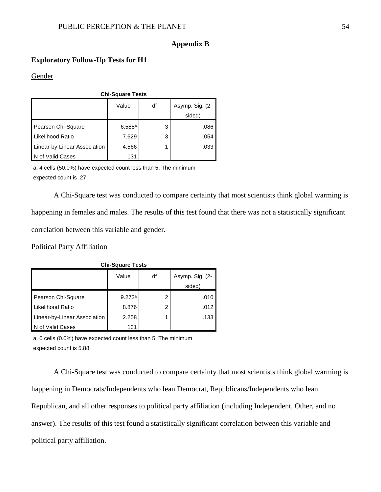#### **Appendix B**

## **Exploratory Follow-Up Tests for H1**

#### Gender

| <b>Chi-Square Tests</b>      |        |    |                 |  |  |
|------------------------------|--------|----|-----------------|--|--|
|                              | Value  | df | Asymp. Sig. (2- |  |  |
|                              |        |    | sided)          |  |  |
| Pearson Chi-Square           | 6.588a | 3  | .086            |  |  |
| Likelihood Ratio             | 7.629  | 3  | .054            |  |  |
| Linear-by-Linear Association | 4.566  |    | .033            |  |  |
| of Valid Cases               | 131    |    |                 |  |  |

a. 4 cells (50.0%) have expected count less than 5. The minimum expected count is .27.

A Chi-Square test was conducted to compare certainty that most scientists think global warming is happening in females and males. The results of this test found that there was not a statistically significant correlation between this variable and gender.

Political Party Affiliation

| $5.00$ $-5.00$ $-5.00$       |        |                |                           |  |
|------------------------------|--------|----------------|---------------------------|--|
|                              | Value  | df             | Asymp. Sig. (2-<br>sided) |  |
| Pearson Chi-Square           | 9.273a | $\overline{2}$ | .010                      |  |
| Likelihood Ratio             | 8.876  | 2              | .012                      |  |
| Linear-by-Linear Association | 2.258  |                | .133                      |  |
| N of Valid Cases             | 131    |                |                           |  |

**Chi-Square Tests**

a. 0 cells (0.0%) have expected count less than 5. The minimum expected count is 5.88.

A Chi-Square test was conducted to compare certainty that most scientists think global warming is happening in Democrats/Independents who lean Democrat, Republicans/Independents who lean Republican, and all other responses to political party affiliation (including Independent, Other, and no answer). The results of this test found a statistically significant correlation between this variable and political party affiliation.